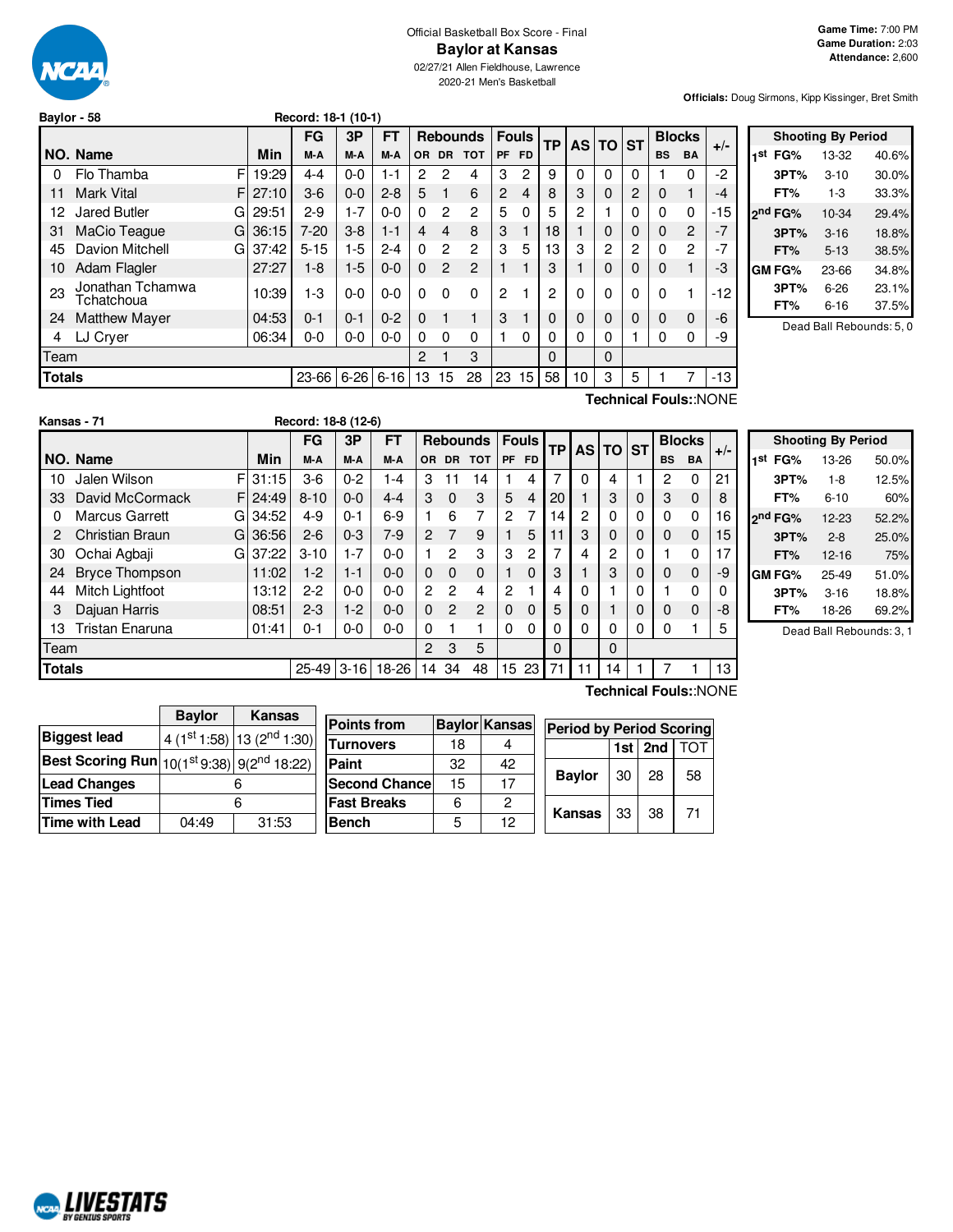

## Official Basketball Box Score - Final **Baylor at Kansas**

02/27/21 Allen Fieldhouse, Lawrence 2020-21 Men's Basketball

**Officials:** Doug Sirmons, Kipp Kissinger, Bret Smith

| Baylor - 58   |                                |    |          | Record: 18-1 (10-1) |         |             |          |                |                 |                |                |          |    |          |          |           |               |       |  |
|---------------|--------------------------------|----|----------|---------------------|---------|-------------|----------|----------------|-----------------|----------------|----------------|----------|----|----------|----------|-----------|---------------|-------|--|
|               |                                |    |          | FG                  | 3P      | FT          |          |                | <b>Rebounds</b> |                | <b>Fouls</b>   | ТP       |    | AS TO ST |          |           | <b>Blocks</b> |       |  |
|               | NO. Name                       |    | Min      | M-A                 | M-A     | M-A         | 0R       | <b>DR</b>      | <b>TOT</b>      | <b>PF</b>      | <b>FD</b>      |          |    |          |          | <b>BS</b> | <b>BA</b>     | $+/-$ |  |
| 0             | Flo Thamba                     | F  | 19:29    | $4 - 4$             | $0 - 0$ | 1-1         | 2        | 2              | 4               | 3              | $\overline{c}$ | 9        | 0  | $\Omega$ | 0        |           | 0             | $-2$  |  |
| 11            | <b>Mark Vital</b>              | FI | 27:10    | $3-6$               | $0 - 0$ | $2 - 8$     | 5        | 1              | 6               | $\overline{2}$ | $\overline{4}$ | 8        | 3  | $\Omega$ | 2        | $\Omega$  | $\mathbf{1}$  | -4    |  |
| 12            | Jared Butler                   | GI | 29:51    | $2-9$               | $1 - 7$ | $0 - 0$     | $\Omega$ | $\overline{2}$ | $\overline{2}$  | 5              | $\Omega$       | 5        | 2  |          | $\Omega$ | 0         | 0             | -15   |  |
| 31            | MaCio Teaque                   | GI | 36:15    | $7 - 20$            | $3-8$   | $1 - 1$     | 4        | 4              | 8               | 3              |                | 18       |    | $\Omega$ | 0        | 0         | 2             | $-7$  |  |
| 45            | Davion Mitchell                |    | GI 37:42 | $5 - 15$            | $1-5$   | $2 - 4$     | $\Omega$ | $\overline{2}$ | $\overline{2}$  | 3              | 5              | 13       | 3  | 2        | 2        | 0         | 2             | $-7$  |  |
| 10            | Adam Flagler                   |    | 27:27    | $1 - 8$             | $1-5$   | $0 - 0$     | $\Omega$ | 2              | $\overline{2}$  |                |                | 3        |    | $\Omega$ | $\Omega$ | $\Omega$  | 1             | -3    |  |
| 23            | Jonathan Tchamwa<br>Tchatchoua |    | 10:39    | $1-3$               | $0 - 0$ | $0 - 0$     | $\Omega$ | $\Omega$       | $\Omega$        | $\overline{2}$ |                | 2        | 0  | 0        | $\Omega$ | 0         | 1             | $-12$ |  |
| 24            | <b>Matthew Mayer</b>           |    | 04:53    | $0 - 1$             | $0 - 1$ | $0 - 2$     | $\Omega$ | 1              | 1               | 3              |                | 0        | 0  | $\Omega$ | $\Omega$ | $\Omega$  | 0             | $-6$  |  |
| 4             | LJ Cryer                       |    | 06:34    | $0 - 0$             | $0-0$   | $0-0$       | $\Omega$ | $\Omega$       | $\Omega$        |                | $\Omega$       | 0        | 0  | 0        |          | 0         | 0             | -9    |  |
| Team          |                                |    |          |                     |         |             | 2        |                | 3               |                |                | $\Omega$ |    | $\Omega$ |          |           |               |       |  |
| <b>Totals</b> |                                |    |          | 23-66               |         | $6-26$ 6-16 | 13       | 15             | 28              | 23             | 15             | 58       | 10 | 3        | 5        |           |               | -13   |  |

|     |                     | <b>Shooting By Period</b> |       |
|-----|---------------------|---------------------------|-------|
| 1st | FG%                 | 13-32                     | 40.6% |
|     | 3PT%                | $3 - 10$                  | 30.0% |
|     | FT%                 | 1-3                       | 33.3% |
|     | 2 <sup>nd</sup> FG% | 10-34                     | 29.4% |
|     | 3PT%                | $3 - 16$                  | 18.8% |
|     | FT%                 | $5 - 13$                  | 38.5% |
|     | <b>GM FG%</b>       | 23-66                     | 34.8% |
|     | 3PT%                | $6 - 26$                  | 23.1% |
|     | FT%                 | $6 - 16$                  | 37.5% |
|     |                     |                           |       |

Dead Ball Rebounds: 5, 0

**Technical Fouls:**:NONE

|               | Kansas - 71                |       | Record: 18-8 (12-6) |          |         |               |                |                 |                |              |           |          |          |   |           |               |       |
|---------------|----------------------------|-------|---------------------|----------|---------|---------------|----------------|-----------------|----------------|--------------|-----------|----------|----------|---|-----------|---------------|-------|
|               |                            |       | FG                  | 3P       | FT      |               |                | <b>Rebounds</b> |                | <b>Fouls</b> | <b>TP</b> |          | AS TO ST |   |           | <b>Blocks</b> | $+/-$ |
|               | NO. Name                   | Min   | M-A                 | M-A      | M-A     | OR.           | <b>DR</b>      | <b>TOT</b>      | <b>PF</b>      | <b>FD</b>    |           |          |          |   | <b>BS</b> | <b>BA</b>     |       |
| 10            | F<br>Jalen Wilson          | 31:15 | $3-6$               | $0 - 2$  | 1-4     | 3             | 11             | 14              |                | 4            | 7         | $\Omega$ | 4        |   | 2         | 0             | 21    |
| 33            | David McCormack<br>F       | 24:49 | $8 - 10$            | $0 - 0$  | 4-4     | 3             | $\Omega$       | 3               | 5              | 4            | 20        |          | 3        | 0 | 3         | $\Omega$      | 8     |
| 0             | <b>Marcus Garrett</b><br>G | 34:52 | $4 - 9$             | $0 - 1$  | 6-9     |               | 6              | 7               | $\overline{c}$ |              | 14        | 2        | 0        | 0 | $\Omega$  | 0             | 16    |
| 2             | Christian Braun<br>G       | 36:56 | $2 - 6$             | $0 - 3$  | $7-9$   | $\mathcal{P}$ | $\overline{7}$ | 9               |                | 5            |           | 3        | 0        | 0 | $\Omega$  | $\Omega$      | 15    |
| 30            | Ochai Agbaji<br>G          | 37:22 | $3 - 10$            | $1 - 7$  | $0 - 0$ |               | 2              | 3               | 3              | 2            |           | 4        | 2        | 0 |           | 0             | 17    |
| 24            | <b>Bryce Thompson</b>      | 11:02 | $1-2$               | $1 - 1$  | $0 - 0$ | 0             | $\Omega$       | $\Omega$        |                | 0            | 3         |          | 3        | 0 | $\Omega$  | $\Omega$      | -9    |
| 44            | Mitch Lightfoot            | 13:12 | $2-2$               | $0 - 0$  | $0 - 0$ | 2             | 2              | 4               | 2              |              | 4         | 0        |          | 0 |           | $\mathbf 0$   | 0     |
| 3             | Dajuan Harris              | 08:51 | $2 - 3$             | $1-2$    | $0 - 0$ | $\Omega$      | $\overline{2}$ | $\overline{2}$  | $\Omega$       | 0            | 5         | 0        |          | 0 | $\Omega$  | $\Omega$      | -8    |
| 13            | Tristan Enaruna            | 01:41 | $0 - 1$             | $0-0$    | $0 - 0$ | 0             |                |                 | $\Omega$       | 0            |           | 0        | 0        | 0 | 0         |               | 5     |
| Team          |                            |       |                     |          |         | 2             | 3              | 5               |                |              | $\Omega$  |          | $\Omega$ |   |           |               |       |
| <b>Totals</b> |                            |       | $25-49$             | $3 - 16$ | 18-26   | 14            | 34             | 48              | 15             | 23           | 71        | 11       | 14       |   |           |               | 13    |

|     |                     | <b>Shooting By Period</b> |       |
|-----|---------------------|---------------------------|-------|
| 1st | FG%                 | 13-26                     | 50.0% |
|     | 3PT%                | $1 - 8$                   | 12.5% |
|     | FT%                 | $6 - 10$                  | 60%   |
|     | 2 <sup>nd</sup> FG% | $12-23$                   | 52.2% |
|     | 3PT%                | $2 - 8$                   | 25.0% |
|     | FT%                 | 12-16                     | 75%   |
|     | GM FG%              | $25 - 49$                 | 51.0% |
|     | 3PT%                | $3 - 16$                  | 18.8% |
|     | FT%                 | 18-26                     | 69.2% |

Dead Ball Rebounds: 3, 1

**Baylor Kansas Biggest** lead 4 (1st 1:58)  $13(2^{nd}1:30)$ **Best Scoring Run** 10(1st 9:38) 9(2<sup>n</sup>  $9(2^{nd} 18:22)$ **Lead Changes** 6 **Times Tied** 6 **Time with Lead** 04:49 31:53

| Points from           |    | <b>Baylor Kansas</b> | <b>Period by Period Scoring</b> |                  |                 |    |
|-----------------------|----|----------------------|---------------------------------|------------------|-----------------|----|
| Turnovers             | 18 |                      |                                 | 1st <sub>l</sub> | 2 <sub>nd</sub> |    |
| Paint                 | 32 | 42                   |                                 |                  |                 |    |
| <b>Second Chancel</b> | 15 | 17                   | <b>Baylor</b>                   | 30               | 28              | 58 |
| <b>Fast Breaks</b>    | 6  | 2                    |                                 |                  |                 | 71 |
| Bench                 | 5  | 12                   | Kansas                          | -33              | 38              |    |

**Technical Fouls:**:NONE

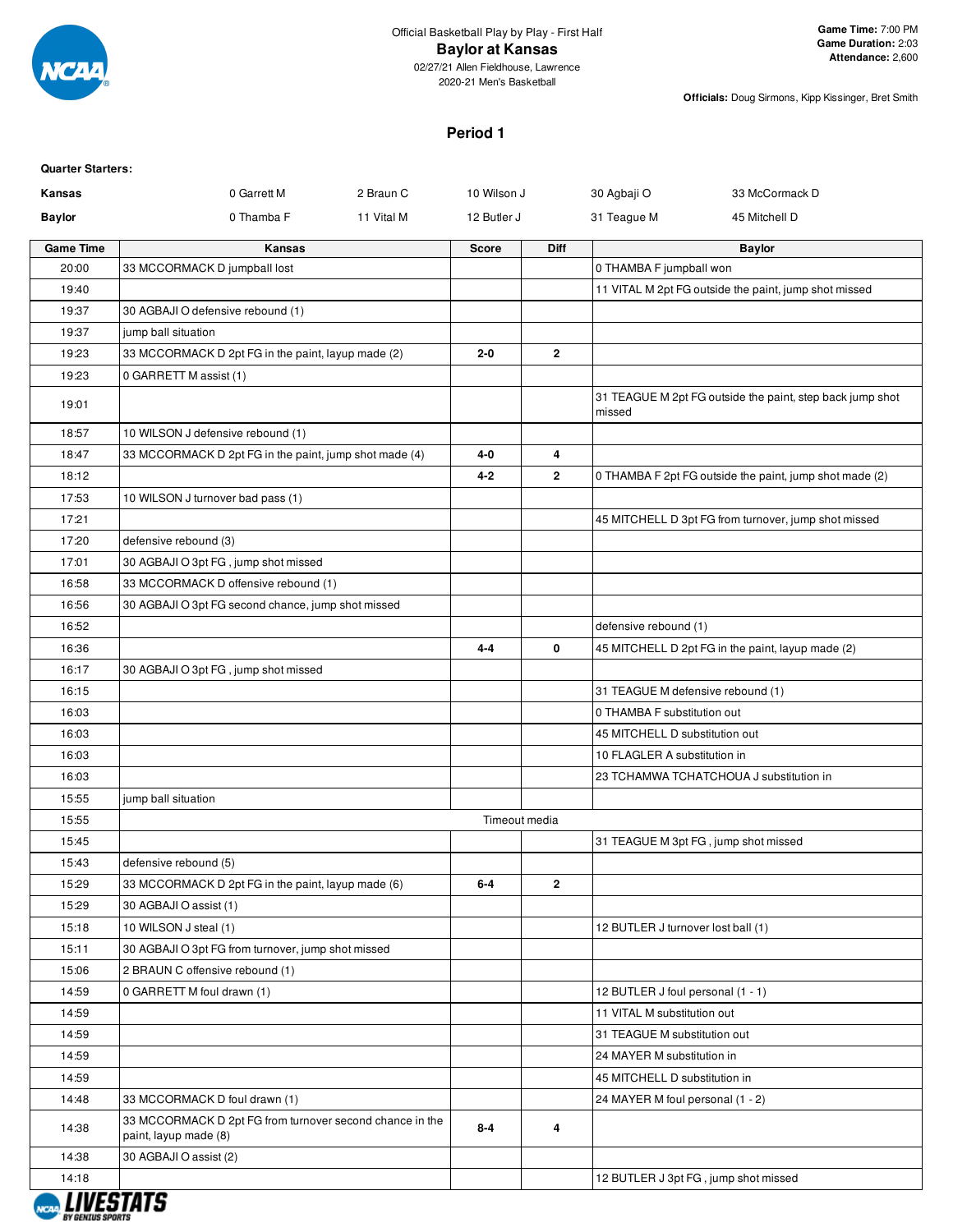

02/27/21 Allen Fieldhouse, Lawrence 2020-21 Men's Basketball

**Officials:** Doug Sirmons, Kipp Kissinger, Bret Smith

#### **Period 1**

| <b>Quarter Starters:</b> |                                                                                   |            |               |                |                                      |                                                           |
|--------------------------|-----------------------------------------------------------------------------------|------------|---------------|----------------|--------------------------------------|-----------------------------------------------------------|
| Kansas                   | 0 Garrett M                                                                       | 2 Braun C  | 10 Wilson J   |                | 30 Agbaji O                          | 33 McCormack D                                            |
| <b>Baylor</b>            | 0 Thamba F                                                                        | 11 Vital M | 12 Butler J   |                | 31 Teague M                          | 45 Mitchell D                                             |
| <b>Game Time</b>         | Kansas                                                                            |            | Score         | <b>Diff</b>    |                                      | <b>Baylor</b>                                             |
| 20:00                    | 33 MCCORMACK D jumpball lost                                                      |            |               |                | 0 THAMBA F jumpball won              |                                                           |
| 19:40                    |                                                                                   |            |               |                |                                      | 11 VITAL M 2pt FG outside the paint, jump shot missed     |
| 19:37                    | 30 AGBAJI O defensive rebound (1)                                                 |            |               |                |                                      |                                                           |
| 19:37                    | jump ball situation                                                               |            |               |                |                                      |                                                           |
| 19:23                    | 33 MCCORMACK D 2pt FG in the paint, layup made (2)                                |            | 2-0           | $\overline{2}$ |                                      |                                                           |
| 19:23                    | 0 GARRETT M assist (1)                                                            |            |               |                |                                      |                                                           |
| 19:01                    |                                                                                   |            |               |                | missed                               | 31 TEAGUE M 2pt FG outside the paint, step back jump shot |
| 18:57                    | 10 WILSON J defensive rebound (1)                                                 |            |               |                |                                      |                                                           |
| 18:47                    | 33 MCCORMACK D 2pt FG in the paint, jump shot made (4)                            |            | 4-0           | 4              |                                      |                                                           |
| 18:12                    |                                                                                   |            | 4-2           | $\overline{2}$ |                                      | 0 THAMBA F 2pt FG outside the paint, jump shot made (2)   |
| 17:53                    | 10 WILSON J turnover bad pass (1)                                                 |            |               |                |                                      |                                                           |
| 17:21                    |                                                                                   |            |               |                |                                      | 45 MITCHELL D 3pt FG from turnover, jump shot missed      |
| 17:20                    | defensive rebound (3)                                                             |            |               |                |                                      |                                                           |
| 17:01                    | 30 AGBAJI O 3pt FG, jump shot missed                                              |            |               |                |                                      |                                                           |
| 16:58                    | 33 MCCORMACK D offensive rebound (1)                                              |            |               |                |                                      |                                                           |
| 16:56                    | 30 AGBAJI O 3pt FG second chance, jump shot missed                                |            |               |                |                                      |                                                           |
| 16:52                    |                                                                                   |            |               |                | defensive rebound (1)                |                                                           |
| 16:36                    |                                                                                   |            | $4 - 4$       | 0              |                                      | 45 MITCHELL D 2pt FG in the paint, layup made (2)         |
| 16:17                    | 30 AGBAJI O 3pt FG, jump shot missed                                              |            |               |                |                                      |                                                           |
| 16:15                    |                                                                                   |            |               |                | 31 TEAGUE M defensive rebound (1)    |                                                           |
| 16:03                    |                                                                                   |            |               |                | 0 THAMBA F substitution out          |                                                           |
| 16:03                    |                                                                                   |            |               |                | 45 MITCHELL D substitution out       |                                                           |
| 16:03                    |                                                                                   |            |               |                | 10 FLAGLER A substitution in         |                                                           |
| 16:03                    |                                                                                   |            |               |                |                                      | 23 TCHAMWA TCHATCHOUA J substitution in                   |
| 15:55                    | jump ball situation                                                               |            |               |                |                                      |                                                           |
| 15:55                    |                                                                                   |            | Timeout media |                |                                      |                                                           |
| 15:45                    |                                                                                   |            |               |                | 31 TEAGUE M 3pt FG, jump shot missed |                                                           |
| 15:43                    | defensive rebound (5)                                                             |            |               |                |                                      |                                                           |
| 15:29                    | 33 MCCORMACK D 2pt FG in the paint, layup made (6)                                |            | $6-4$         | $\overline{2}$ |                                      |                                                           |
| 15:29                    | 30 AGBAJI O assist (1)                                                            |            |               |                |                                      |                                                           |
| 15:18                    | 10 WILSON J steal (1)                                                             |            |               |                | 12 BUTLER J turnover lost ball (1)   |                                                           |
| 15:11                    | 30 AGBAJI O 3pt FG from turnover, jump shot missed                                |            |               |                |                                      |                                                           |
| 15:06                    | 2 BRAUN C offensive rebound (1)                                                   |            |               |                |                                      |                                                           |
| 14:59                    | 0 GARRETT M foul drawn (1)                                                        |            |               |                | 12 BUTLER J foul personal (1 - 1)    |                                                           |
| 14:59                    |                                                                                   |            |               |                | 11 VITAL M substitution out          |                                                           |
| 14:59                    |                                                                                   |            |               |                | 31 TEAGUE M substitution out         |                                                           |
| 14:59                    |                                                                                   |            |               |                | 24 MAYER M substitution in           |                                                           |
| 14:59                    |                                                                                   |            |               |                | 45 MITCHELL D substitution in        |                                                           |
| 14:48                    | 33 MCCORMACK D foul drawn (1)                                                     |            |               |                | 24 MAYER M foul personal (1 - 2)     |                                                           |
| 14:38                    | 33 MCCORMACK D 2pt FG from turnover second chance in the<br>paint, layup made (8) |            | $8-4$         | 4              |                                      |                                                           |
| 14:38                    | 30 AGBAJI O assist (2)                                                            |            |               |                |                                      |                                                           |
| 14:18                    |                                                                                   |            |               |                | 12 BUTLER J 3pt FG, jump shot missed |                                                           |

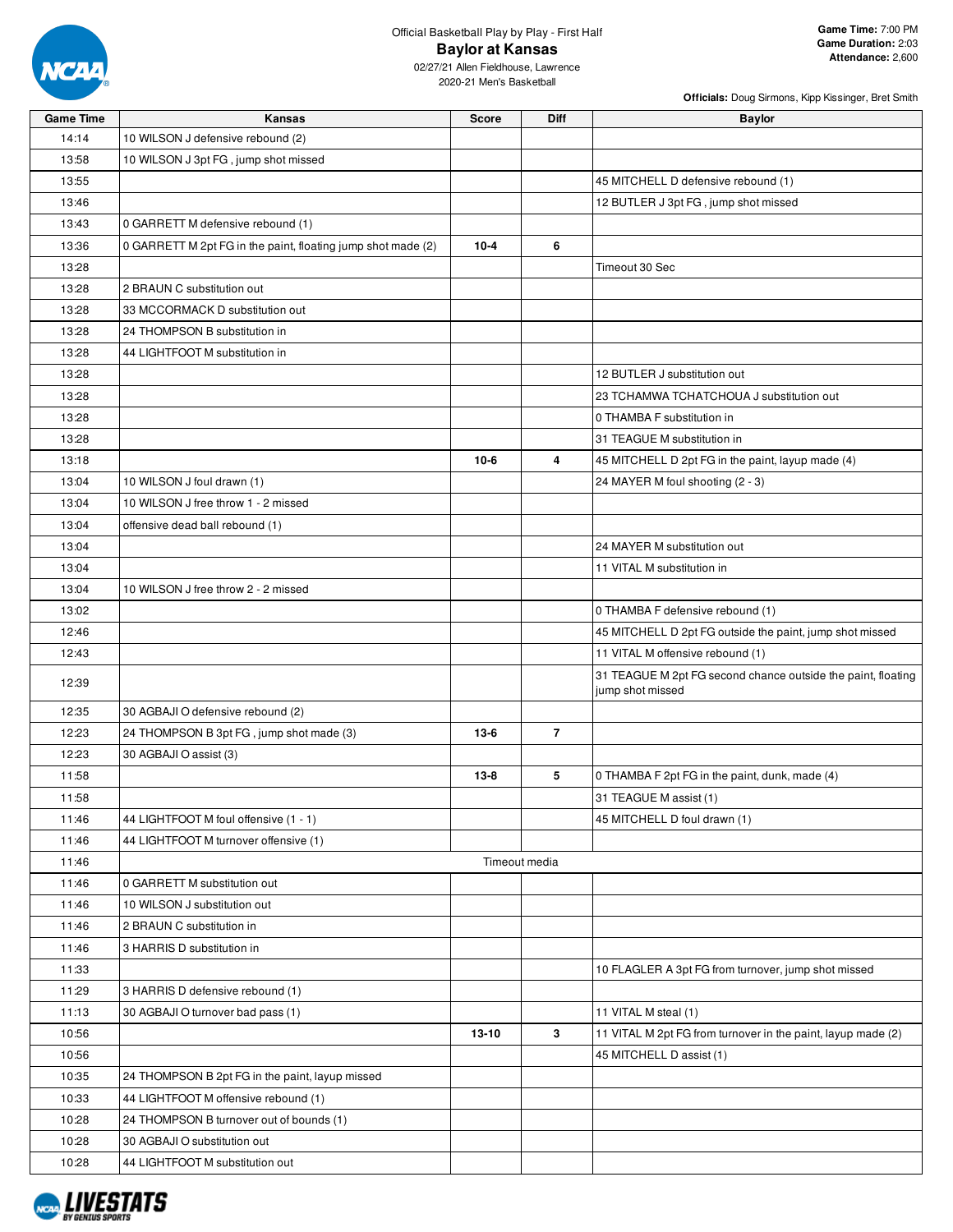

**Officials:** Doug Sirmons, Kipp Kissinger, Bret Smith

| <b>Game Time</b> | Kansas                                                       | <b>Score</b> | Diff           | <b>Baylor</b>                                                |
|------------------|--------------------------------------------------------------|--------------|----------------|--------------------------------------------------------------|
| 14:14            | 10 WILSON J defensive rebound (2)                            |              |                |                                                              |
| 13:58            | 10 WILSON J 3pt FG, jump shot missed                         |              |                |                                                              |
| 13:55            |                                                              |              |                | 45 MITCHELL D defensive rebound (1)                          |
| 13:46            |                                                              |              |                | 12 BUTLER J 3pt FG, jump shot missed                         |
| 13:43            | 0 GARRETT M defensive rebound (1)                            |              |                |                                                              |
| 13:36            | 0 GARRETT M 2pt FG in the paint, floating jump shot made (2) | $10 - 4$     | 6              |                                                              |
| 13:28            |                                                              |              |                | Timeout 30 Sec                                               |
| 13:28            | 2 BRAUN C substitution out                                   |              |                |                                                              |
| 13:28            | 33 MCCORMACK D substitution out                              |              |                |                                                              |
| 13:28            | 24 THOMPSON B substitution in                                |              |                |                                                              |
| 13:28            | 44 LIGHTFOOT M substitution in                               |              |                |                                                              |
| 13:28            |                                                              |              |                | 12 BUTLER J substitution out                                 |
| 13:28            |                                                              |              |                | 23 TCHAMWA TCHATCHOUA J substitution out                     |
| 13:28            |                                                              |              |                | 0 THAMBA F substitution in                                   |
| 13:28            |                                                              |              |                | 31 TEAGUE M substitution in                                  |
| 13:18            |                                                              | $10-6$       | 4              | 45 MITCHELL D 2pt FG in the paint, layup made (4)            |
| 13:04            | 10 WILSON J foul drawn (1)                                   |              |                | 24 MAYER M foul shooting (2 - 3)                             |
| 13:04            | 10 WILSON J free throw 1 - 2 missed                          |              |                |                                                              |
| 13:04            | offensive dead ball rebound (1)                              |              |                |                                                              |
| 13:04            |                                                              |              |                | 24 MAYER M substitution out                                  |
| 13:04            |                                                              |              |                | 11 VITAL M substitution in                                   |
| 13:04            | 10 WILSON J free throw 2 - 2 missed                          |              |                |                                                              |
| 13:02            |                                                              |              |                | 0 THAMBA F defensive rebound (1)                             |
| 12:46            |                                                              |              |                | 45 MITCHELL D 2pt FG outside the paint, jump shot missed     |
| 12:43            |                                                              |              |                | 11 VITAL M offensive rebound (1)                             |
|                  |                                                              |              |                | 31 TEAGUE M 2pt FG second chance outside the paint, floating |
| 12:39            |                                                              |              |                | jump shot missed                                             |
| 12:35            | 30 AGBAJI O defensive rebound (2)                            |              |                |                                                              |
| 12:23            | 24 THOMPSON B 3pt FG, jump shot made (3)                     | $13-6$       | $\overline{7}$ |                                                              |
| 12:23            | 30 AGBAJI O assist (3)                                       |              |                |                                                              |
| 11:58            |                                                              | $13 - 8$     | 5              | 0 THAMBA F 2pt FG in the paint, dunk, made (4)               |
| 11:58            |                                                              |              |                | 31 TEAGUE M assist (1)                                       |
| 11:46            | 44 LIGHTFOOT M foul offensive (1 - 1)                        |              |                | 45 MITCHELL D foul drawn (1)                                 |
| 11:46            | 44 LIGHTFOOT M turnover offensive (1)                        |              |                |                                                              |
| 11:46            |                                                              |              | Timeout media  |                                                              |
| 11:46            | 0 GARRETT M substitution out                                 |              |                |                                                              |
| 11:46            | 10 WILSON J substitution out                                 |              |                |                                                              |
| 11:46            | 2 BRAUN C substitution in                                    |              |                |                                                              |
| 11:46            | 3 HARRIS D substitution in                                   |              |                |                                                              |
| 11:33            |                                                              |              |                | 10 FLAGLER A 3pt FG from turnover, jump shot missed          |
| 11:29            | 3 HARRIS D defensive rebound (1)                             |              |                |                                                              |
| 11:13            | 30 AGBAJI O turnover bad pass (1)                            |              |                | 11 VITAL M steal (1)                                         |
| 10:56            |                                                              | 13-10        | 3              | 11 VITAL M 2pt FG from turnover in the paint, layup made (2) |
| 10:56            |                                                              |              |                | 45 MITCHELL D assist (1)                                     |
| 10:35            | 24 THOMPSON B 2pt FG in the paint, layup missed              |              |                |                                                              |
| 10:33            | 44 LIGHTFOOT M offensive rebound (1)                         |              |                |                                                              |
| 10:28            | 24 THOMPSON B turnover out of bounds (1)                     |              |                |                                                              |
| 10:28            | 30 AGBAJI O substitution out                                 |              |                |                                                              |
| 10:28            | 44 LIGHTFOOT M substitution out                              |              |                |                                                              |

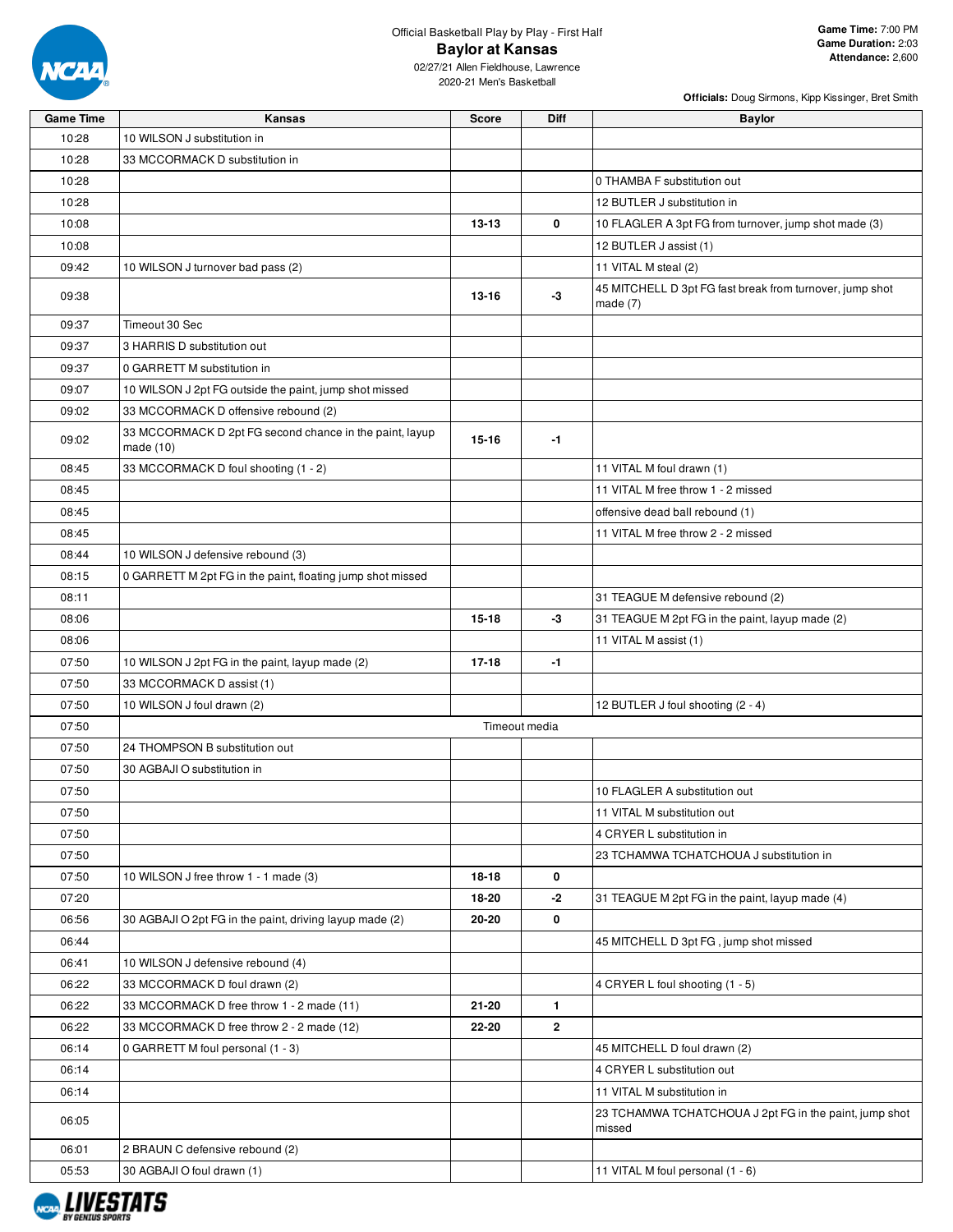

| <b>Game Time</b> | Kansas                                                                 | <b>Score</b> | <b>Diff</b>   | <b>Baylor</b>                                                          |
|------------------|------------------------------------------------------------------------|--------------|---------------|------------------------------------------------------------------------|
| 10:28            | 10 WILSON J substitution in                                            |              |               |                                                                        |
| 10:28            | 33 MCCORMACK D substitution in                                         |              |               |                                                                        |
| 10:28            |                                                                        |              |               | 0 THAMBA F substitution out                                            |
| 10:28            |                                                                        |              |               | 12 BUTLER J substitution in                                            |
| 10:08            |                                                                        | $13 - 13$    | 0             | 10 FLAGLER A 3pt FG from turnover, jump shot made (3)                  |
| 10:08            |                                                                        |              |               | 12 BUTLER J assist (1)                                                 |
| 09:42            | 10 WILSON J turnover bad pass (2)                                      |              |               | 11 VITAL M steal (2)                                                   |
| 09:38            |                                                                        | $13 - 16$    | -3            | 45 MITCHELL D 3pt FG fast break from turnover, jump shot<br>made $(7)$ |
| 09:37            | Timeout 30 Sec                                                         |              |               |                                                                        |
| 09:37            | 3 HARRIS D substitution out                                            |              |               |                                                                        |
| 09:37            | 0 GARRETT M substitution in                                            |              |               |                                                                        |
| 09:07            | 10 WILSON J 2pt FG outside the paint, jump shot missed                 |              |               |                                                                        |
| 09:02            | 33 MCCORMACK D offensive rebound (2)                                   |              |               |                                                                        |
| 09:02            | 33 MCCORMACK D 2pt FG second chance in the paint, layup<br>made $(10)$ | $15 - 16$    | $-1$          |                                                                        |
| 08:45            | 33 MCCORMACK D foul shooting (1 - 2)                                   |              |               | 11 VITAL M foul drawn (1)                                              |
| 08:45            |                                                                        |              |               | 11 VITAL M free throw 1 - 2 missed                                     |
| 08:45            |                                                                        |              |               | offensive dead ball rebound (1)                                        |
| 08:45            |                                                                        |              |               | 11 VITAL M free throw 2 - 2 missed                                     |
| 08:44            | 10 WILSON J defensive rebound (3)                                      |              |               |                                                                        |
| 08:15            | 0 GARRETT M 2pt FG in the paint, floating jump shot missed             |              |               |                                                                        |
| 08:11            |                                                                        |              |               | 31 TEAGUE M defensive rebound (2)                                      |
| 08:06            |                                                                        | $15 - 18$    | -3            | 31 TEAGUE M 2pt FG in the paint, layup made (2)                        |
| 08:06            |                                                                        |              |               | 11 VITAL M assist (1)                                                  |
| 07:50            | 10 WILSON J 2pt FG in the paint, layup made (2)                        | $17 - 18$    | $-1$          |                                                                        |
| 07:50            | 33 MCCORMACK D assist (1)                                              |              |               |                                                                        |
| 07:50            | 10 WILSON J foul drawn (2)                                             |              |               | 12 BUTLER J foul shooting (2 - 4)                                      |
| 07:50            |                                                                        |              | Timeout media |                                                                        |
| 07:50            | 24 THOMPSON B substitution out                                         |              |               |                                                                        |
| 07:50            | 30 AGBAJI O substitution in                                            |              |               |                                                                        |
| 07:50            |                                                                        |              |               | 10 FLAGLER A substitution out                                          |
| 07:50            |                                                                        |              |               | 11 VITAL M substitution out                                            |
| 07:50            |                                                                        |              |               | 4 CRYER L substitution in                                              |
| 07:50            |                                                                        |              |               | 23 TCHAMWA TCHATCHOUA J substitution in                                |
| 07:50            | 10 WILSON J free throw 1 - 1 made (3)                                  | $18-18$      | 0             |                                                                        |
| 07:20            |                                                                        | 18-20        | -2            | 31 TEAGUE M 2pt FG in the paint, layup made (4)                        |
| 06:56            | 30 AGBAJI O 2pt FG in the paint, driving layup made (2)                | 20-20        | 0             |                                                                        |
| 06:44            |                                                                        |              |               | 45 MITCHELL D 3pt FG, jump shot missed                                 |
|                  |                                                                        |              |               |                                                                        |
| 06:41            | 10 WILSON J defensive rebound (4)<br>33 MCCORMACK D foul drawn (2)     |              |               | 4 CRYER L foul shooting (1 - 5)                                        |
| 06:22            |                                                                        |              |               |                                                                        |
| 06:22            | 33 MCCORMACK D free throw 1 - 2 made (11)                              | 21-20        | $\mathbf{1}$  |                                                                        |
| 06:22            | 33 MCCORMACK D free throw 2 - 2 made (12)                              | 22-20        | $\mathbf{2}$  |                                                                        |
| 06:14            | 0 GARRETT M foul personal (1 - 3)                                      |              |               | 45 MITCHELL D foul drawn (2)                                           |
| 06:14            |                                                                        |              |               | 4 CRYER L substitution out                                             |
| 06:14            |                                                                        |              |               | 11 VITAL M substitution in                                             |
| 06:05            |                                                                        |              |               | 23 TCHAMWA TCHATCHOUA J 2pt FG in the paint, jump shot<br>missed       |
| 06:01            | 2 BRAUN C defensive rebound (2)                                        |              |               |                                                                        |
| 05:53            | 30 AGBAJI O foul drawn (1)                                             |              |               | 11 VITAL M foul personal (1 - 6)                                       |

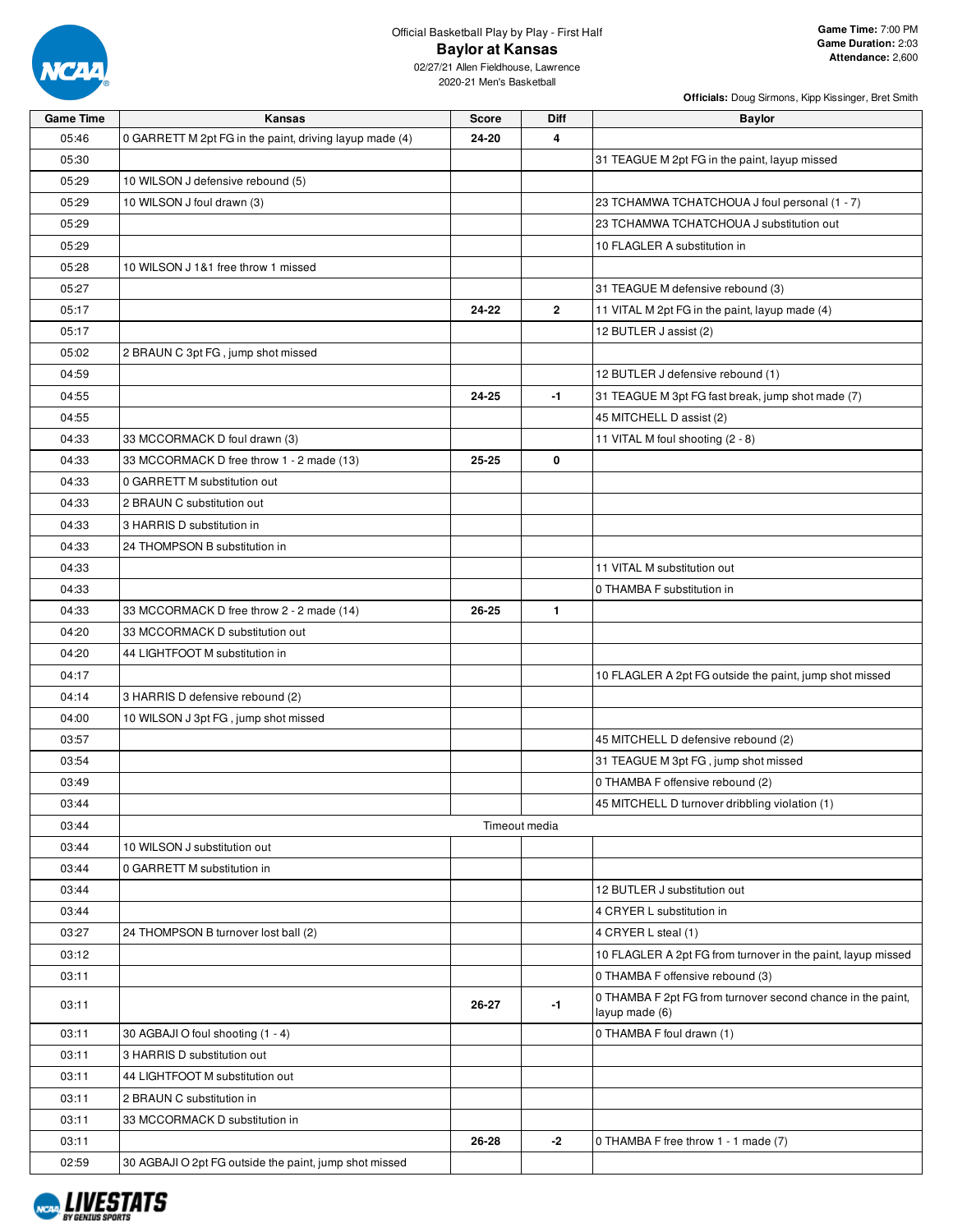

02/27/21 Allen Fieldhouse, Lawrence 2020-21 Men's Basketball

| <b>Game Time</b> | Kansas                                                  | <b>Score</b>  | Diff         | <b>Baylor</b>                                                                 |
|------------------|---------------------------------------------------------|---------------|--------------|-------------------------------------------------------------------------------|
| 05:46            | 0 GARRETT M 2pt FG in the paint, driving layup made (4) | 24-20         | 4            |                                                                               |
| 05:30            |                                                         |               |              | 31 TEAGUE M 2pt FG in the paint, layup missed                                 |
| 05:29            | 10 WILSON J defensive rebound (5)                       |               |              |                                                                               |
| 05:29            | 10 WILSON J foul drawn (3)                              |               |              | 23 TCHAMWA TCHATCHOUA J foul personal (1 - 7)                                 |
| 05:29            |                                                         |               |              | 23 TCHAMWA TCHATCHOUA J substitution out                                      |
| 05:29            |                                                         |               |              | 10 FLAGLER A substitution in                                                  |
| 05:28            | 10 WILSON J 1&1 free throw 1 missed                     |               |              |                                                                               |
| 05:27            |                                                         |               |              | 31 TEAGUE M defensive rebound (3)                                             |
| 05:17            |                                                         | 24-22         | $\mathbf{2}$ | 11 VITAL M 2pt FG in the paint, layup made (4)                                |
| 05:17            |                                                         |               |              | 12 BUTLER J assist (2)                                                        |
| 05:02            | 2 BRAUN C 3pt FG, jump shot missed                      |               |              |                                                                               |
| 04:59            |                                                         |               |              | 12 BUTLER J defensive rebound (1)                                             |
| 04:55            |                                                         | 24-25         | $-1$         | 31 TEAGUE M 3pt FG fast break, jump shot made (7)                             |
| 04:55            |                                                         |               |              | 45 MITCHELL D assist (2)                                                      |
| 04:33            | 33 MCCORMACK D foul drawn (3)                           |               |              | 11 VITAL M foul shooting (2 - 8)                                              |
| 04:33            | 33 MCCORMACK D free throw 1 - 2 made (13)               | $25 - 25$     | 0            |                                                                               |
| 04:33            | 0 GARRETT M substitution out                            |               |              |                                                                               |
| 04:33            | 2 BRAUN C substitution out                              |               |              |                                                                               |
| 04:33            | 3 HARRIS D substitution in                              |               |              |                                                                               |
| 04:33            | 24 THOMPSON B substitution in                           |               |              |                                                                               |
| 04:33            |                                                         |               |              | 11 VITAL M substitution out                                                   |
| 04:33            |                                                         |               |              | 0 THAMBA F substitution in                                                    |
| 04:33            | 33 MCCORMACK D free throw 2 - 2 made (14)               | 26-25         | 1.           |                                                                               |
| 04:20            | 33 MCCORMACK D substitution out                         |               |              |                                                                               |
| 04:20            | 44 LIGHTFOOT M substitution in                          |               |              |                                                                               |
| 04:17            |                                                         |               |              | 10 FLAGLER A 2pt FG outside the paint, jump shot missed                       |
| 04:14            | 3 HARRIS D defensive rebound (2)                        |               |              |                                                                               |
| 04:00            | 10 WILSON J 3pt FG, jump shot missed                    |               |              |                                                                               |
| 03:57            |                                                         |               |              | 45 MITCHELL D defensive rebound (2)                                           |
| 03:54            |                                                         |               |              | 31 TEAGUE M 3pt FG, jump shot missed                                          |
| 03:49            |                                                         |               |              | 0 THAMBA F offensive rebound (2)                                              |
| 03:44            |                                                         |               |              | 45 MITCHELL D turnover dribbling violation (1)                                |
| 03:44            |                                                         | Timeout media |              |                                                                               |
| 03:44            | 10 WILSON J substitution out                            |               |              |                                                                               |
| 03:44            | 0 GARRETT M substitution in                             |               |              |                                                                               |
| 03:44            |                                                         |               |              | 12 BUTLER J substitution out                                                  |
| 03:44            |                                                         |               |              | 4 CRYER L substitution in                                                     |
| 03:27            | 24 THOMPSON B turnover lost ball (2)                    |               |              | 4 CRYER L steal (1)                                                           |
| 03:12            |                                                         |               |              | 10 FLAGLER A 2pt FG from turnover in the paint, layup missed                  |
| 03:11            |                                                         |               |              | 0 THAMBA F offensive rebound (3)                                              |
| 03:11            |                                                         | 26-27         | $-1$         | 0 THAMBA F 2pt FG from turnover second chance in the paint,<br>layup made (6) |
| 03:11            | 30 AGBAJI O foul shooting (1 - 4)                       |               |              | 0 THAMBA F foul drawn (1)                                                     |
| 03:11            | 3 HARRIS D substitution out                             |               |              |                                                                               |
| 03:11            | 44 LIGHTFOOT M substitution out                         |               |              |                                                                               |
| 03:11            | 2 BRAUN C substitution in                               |               |              |                                                                               |
| 03:11            | 33 MCCORMACK D substitution in                          |               |              |                                                                               |
| 03:11            |                                                         | 26-28         | $-2$         | 0 THAMBA F free throw 1 - 1 made (7)                                          |
| 02:59            | 30 AGBAJI O 2pt FG outside the paint, jump shot missed  |               |              |                                                                               |

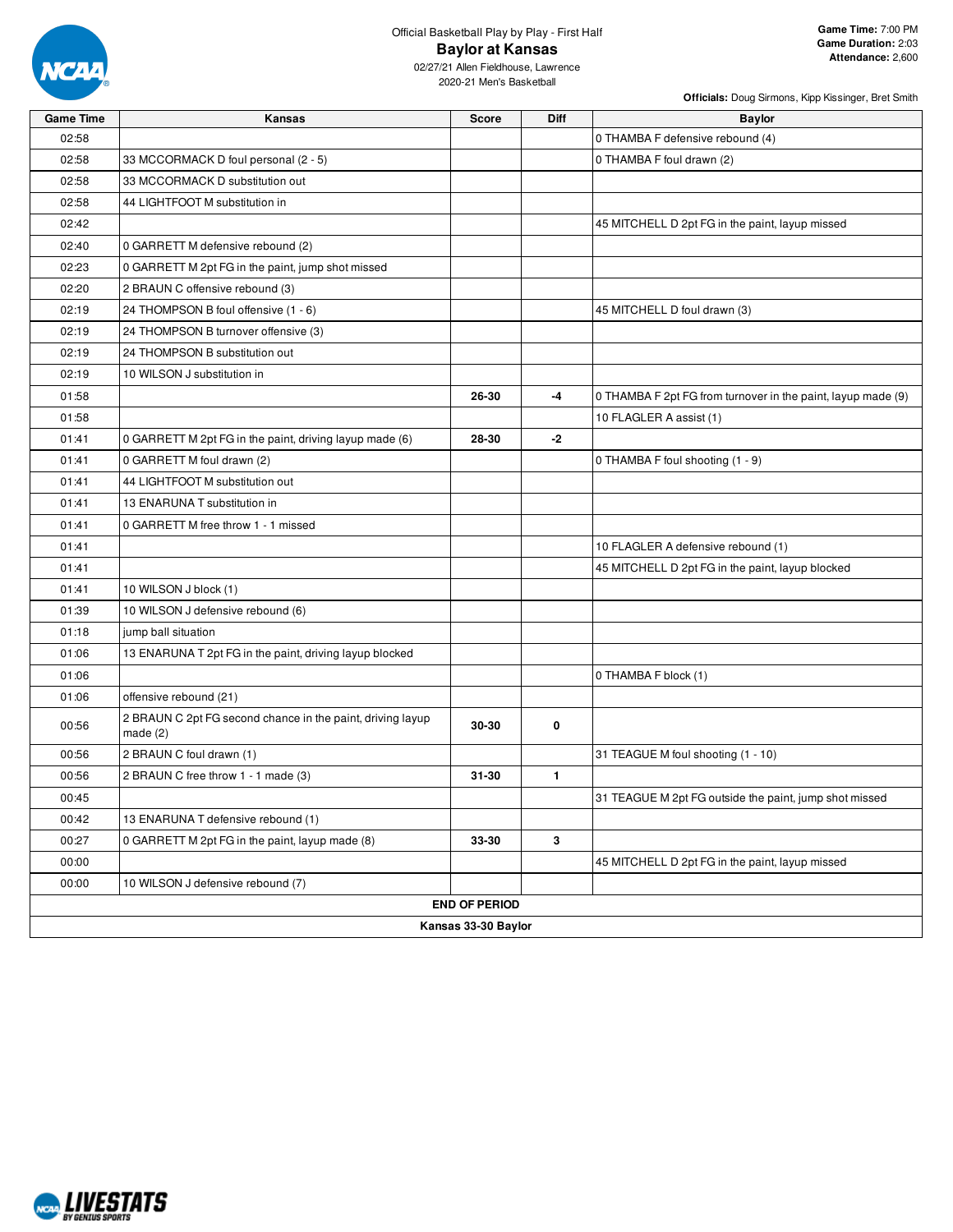

**Officials:** Doug Sirmons, Kipp Kissinger, Bret Smith

| <b>Game Time</b> | Kansas                                                                   | <b>Score</b>         | <b>Diff</b>  | <b>Baylor</b>                                                |
|------------------|--------------------------------------------------------------------------|----------------------|--------------|--------------------------------------------------------------|
| 02:58            |                                                                          |                      |              | 0 THAMBA F defensive rebound (4)                             |
| 02:58            | 33 MCCORMACK D foul personal (2 - 5)                                     |                      |              | 0 THAMBA F foul drawn (2)                                    |
| 02:58            | 33 MCCORMACK D substitution out                                          |                      |              |                                                              |
| 02:58            | 44 LIGHTFOOT M substitution in                                           |                      |              |                                                              |
| 02:42            |                                                                          |                      |              | 45 MITCHELL D 2pt FG in the paint, layup missed              |
| 02:40            | 0 GARRETT M defensive rebound (2)                                        |                      |              |                                                              |
| 02:23            | 0 GARRETT M 2pt FG in the paint, jump shot missed                        |                      |              |                                                              |
| 02:20            | 2 BRAUN C offensive rebound (3)                                          |                      |              |                                                              |
| 02:19            | 24 THOMPSON B foul offensive (1 - 6)                                     |                      |              | 45 MITCHELL D foul drawn (3)                                 |
| 02:19            | 24 THOMPSON B turnover offensive (3)                                     |                      |              |                                                              |
| 02:19            | 24 THOMPSON B substitution out                                           |                      |              |                                                              |
| 02:19            | 10 WILSON J substitution in                                              |                      |              |                                                              |
| 01:58            |                                                                          | 26-30                | $-4$         | 0 THAMBA F 2pt FG from turnover in the paint, layup made (9) |
| 01:58            |                                                                          |                      |              | 10 FLAGLER A assist (1)                                      |
| 01:41            | 0 GARRETT M 2pt FG in the paint, driving layup made (6)                  | 28-30                | $-2$         |                                                              |
| 01:41            | 0 GARRETT M foul drawn (2)                                               |                      |              | 0 THAMBA F foul shooting (1 - 9)                             |
| 01:41            | 44 LIGHTFOOT M substitution out                                          |                      |              |                                                              |
| 01:41            | 13 ENARUNA T substitution in                                             |                      |              |                                                              |
| 01:41            | 0 GARRETT M free throw 1 - 1 missed                                      |                      |              |                                                              |
| 01:41            |                                                                          |                      |              | 10 FLAGLER A defensive rebound (1)                           |
| 01:41            |                                                                          |                      |              | 45 MITCHELL D 2pt FG in the paint, layup blocked             |
| 01:41            | 10 WILSON J block (1)                                                    |                      |              |                                                              |
| 01:39            | 10 WILSON J defensive rebound (6)                                        |                      |              |                                                              |
| 01:18            | jump ball situation                                                      |                      |              |                                                              |
| 01:06            | 13 ENARUNA T 2pt FG in the paint, driving layup blocked                  |                      |              |                                                              |
| 01:06            |                                                                          |                      |              | 0 THAMBA F block (1)                                         |
| 01:06            | offensive rebound (21)                                                   |                      |              |                                                              |
| 00:56            | 2 BRAUN C 2pt FG second chance in the paint, driving layup<br>made $(2)$ | 30-30                | 0            |                                                              |
| 00:56            | 2 BRAUN C foul drawn (1)                                                 |                      |              | 31 TEAGUE M foul shooting (1 - 10)                           |
| 00:56            | 2 BRAUN C free throw 1 - 1 made (3)                                      | $31 - 30$            | $\mathbf{1}$ |                                                              |
| 00:45            |                                                                          |                      |              | 31 TEAGUE M 2pt FG outside the paint, jump shot missed       |
| 00:42            | 13 ENARUNA T defensive rebound (1)                                       |                      |              |                                                              |
| 00:27            | 0 GARRETT M 2pt FG in the paint, layup made (8)                          | 33-30                | 3            |                                                              |
| 00:00            |                                                                          |                      |              | 45 MITCHELL D 2pt FG in the paint, layup missed              |
| 00:00            | 10 WILSON J defensive rebound (7)                                        |                      |              |                                                              |
|                  |                                                                          | <b>END OF PERIOD</b> |              |                                                              |
|                  |                                                                          | Kansas 33-30 Baylor  |              |                                                              |

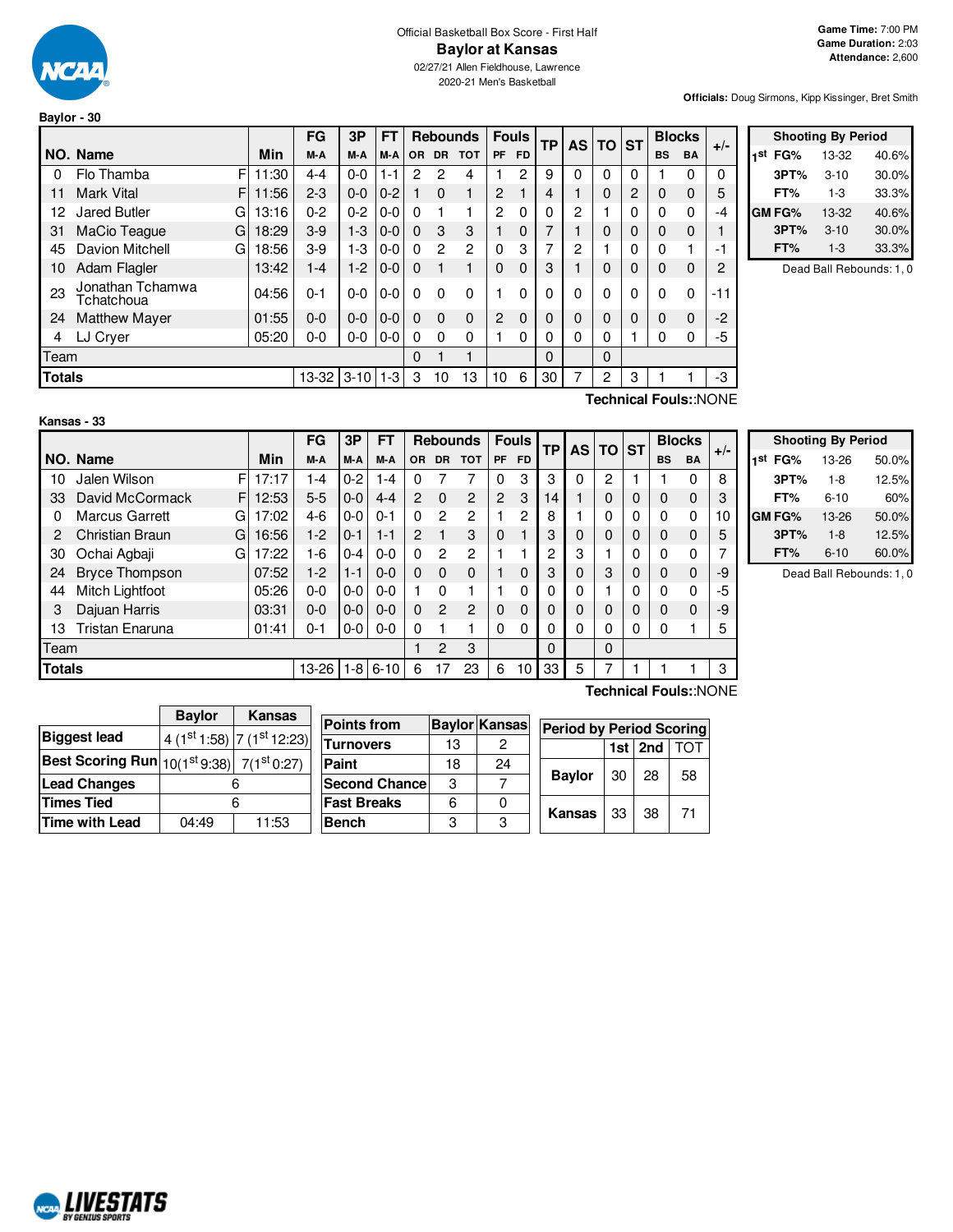

# Official Basketball Box Score - First Half **Baylor at Kansas**

02/27/21 Allen Fieldhouse, Lawrence 2020-21 Men's Basketball

**Officials:** Doug Sirmons, Kipp Kissinger, Bret Smith

|               |                                |       | FG      | 3P         | FT      |           |                | <b>Rebounds</b> | <b>Fouls</b>   |           | ТP | <b>AS</b> | <b>TO</b> | <b>ST</b> |           | <b>Blocks</b> | $+/-$ |
|---------------|--------------------------------|-------|---------|------------|---------|-----------|----------------|-----------------|----------------|-----------|----|-----------|-----------|-----------|-----------|---------------|-------|
|               | NO. Name                       | Min   | M-A     | M-A        | M-A     | <b>OR</b> | <b>DR</b>      | <b>TOT</b>      | <b>PF</b>      | <b>FD</b> |    |           |           |           | <b>BS</b> | <b>BA</b>     |       |
| 0             | F<br>Flo Thamba                | 11:30 | $4 - 4$ | $0-0$      | 1-1     | 2         | 2              | 4               |                | 2         | 9  | 0         | 0         | 0         |           | 0             | 0     |
| 11            | F<br><b>Mark Vital</b>         | 11:56 | $2 - 3$ | $0 - 0$    | $0 - 2$ |           | $\mathbf{0}$   | 1               | 2              |           | 4  |           | 0         | 2         | 0         | 0             | 5     |
| 12            | Jared Butler<br>G              | 13:16 | $0 - 2$ | $0 - 2$    | $0 - 0$ | 0         |                |                 | 2              | $\Omega$  | 0  | 2         |           | 0         | $\Omega$  | 0             | -4    |
| 31            | MaCio Teague<br>G              | 18:29 | $3-9$   | $1 - 3$    | $0 - 0$ | $\Omega$  | 3              | 3               |                | 0         | 7  |           | 0         | 0         | $\Omega$  | 0             |       |
| 45            | Davion Mitchell<br>G           | 18:56 | $3-9$   | $1-3$      | $0 - 0$ | $\Omega$  | $\overline{2}$ | 2               | $\Omega$       | 3         | 7  | 2         |           | 0         | $\Omega$  |               | -1    |
| 10            | Adam Flagler                   | 13:42 | $1 - 4$ | $1 - 2$    | $0 - 0$ | $\Omega$  |                |                 | $\Omega$       | 0         | 3  |           | 0         | 0         | $\Omega$  | 0             | 2     |
| 23            | Jonathan Tchamwa<br>Tchatchoua | 04:56 | $0 - 1$ | $0-0$      | $0 - 0$ | 0         | 0              | 0               |                | $\Omega$  | 0  | 0         | 0         | 0         | $\Omega$  | 0             | $-11$ |
| 24            | <b>Matthew Mayer</b>           | 01:55 | $0 - 0$ | $0 - 0$    | $0 - 0$ | $\Omega$  | $\Omega$       | $\mathbf 0$     | $\overline{2}$ | $\Omega$  | 0  | 0         | 0         | 0         | 0         | 0             | $-2$  |
| 4             | LJ Cryer                       | 05:20 | 0-0     | $0-0$      | $0 - 0$ | 0         | 0              | 0               |                | 0         | 0  | 0         | 0         |           | 0         | 0             | -5    |
| Team          |                                |       |         |            |         | 0         |                | 1               |                |           | 0  |           | $\Omega$  |           |           |               |       |
| <b>Totals</b> |                                |       | 13-32   | $3-10$ 1-3 |         | 3         | 10             | 13              | 10             | 6         | 30 | 7         | 2         | 3         |           |               | -3    |
|               |                                |       |         |            |         |           |                |                 |                |           |    |           |           |           |           |               |       |

|     | <b>Shooting By Period</b> |          |       |  |  |  |  |  |  |  |  |
|-----|---------------------------|----------|-------|--|--|--|--|--|--|--|--|
| 1st | FG%                       | 13-32    | 40.6% |  |  |  |  |  |  |  |  |
|     | 3PT%                      | $3 - 10$ | 30.0% |  |  |  |  |  |  |  |  |
|     | FT%                       | 1-3      | 33.3% |  |  |  |  |  |  |  |  |
|     | GM FG%                    | 13-32    | 40.6% |  |  |  |  |  |  |  |  |
|     | 3PT%                      | $3 - 10$ | 30.0% |  |  |  |  |  |  |  |  |
|     | FT%                       | $1 - 3$  | 33.3% |  |  |  |  |  |  |  |  |

Dead Ball Rebounds: 1, 0

**Technical Fouls:**:NONE

|               |                            |       | FG      | 3P      | FT       |                |                | <b>Rebounds</b> |    | <b>Fouls</b> | <b>TP</b> |          | <b>AS TO</b> | <b>ST</b> |           | <b>Blocks</b> | $+/-$ |
|---------------|----------------------------|-------|---------|---------|----------|----------------|----------------|-----------------|----|--------------|-----------|----------|--------------|-----------|-----------|---------------|-------|
|               | NO. Name                   | Min   | M-A     | M-A     | M-A      | <b>OR</b>      | <b>DR</b>      | <b>TOT</b>      | PF | <b>FD</b>    |           |          |              |           | <b>BS</b> | <b>BA</b>     |       |
| 10            | Jalen Wilson<br>FI         | 17:17 | 1-4     | $0 - 2$ | $1 - 4$  | 0              |                | 7               | 0  | 3            | 3         | $\Omega$ | 2            |           |           | 0             | 8     |
| 33            | David McCormack<br>F.      | 12:53 | $5 - 5$ | $0 - 0$ | $4 - 4$  | $\overline{2}$ | $\Omega$       | 2               | 2  | 3            | 14        |          | 0            | 0         | 0         | 0             | 3     |
| 0             | <b>Marcus Garrett</b><br>G | 17:02 | 4-6     | $0-0$   | $0 - 1$  | $\Omega$       | $\overline{c}$ | $\overline{2}$  |    | $\mathbf{2}$ | 8         |          | 0            | 0         | 0         | 0             | 10    |
|               | Christian Braun<br>G       | 16:56 | $1-2$   | $0 - 1$ | $1 - 1$  | 2              |                | 3               | 0  |              | 3         | 0        | $\Omega$     | 0         | 0         | $\mathbf 0$   | 5     |
| 30            | Ochai Agbaji<br>G          | 17:22 | 1-6     | $0 - 4$ | $0-0$    | $\Omega$       | 2              | 2               |    |              | 2         | 3        |              | 0         | 0         | 0             |       |
| 24            | <b>Bryce Thompson</b>      | 07:52 | $1-2$   | $1 - 1$ | $0 - 0$  | $\Omega$       | $\Omega$       | $\Omega$        |    | $\Omega$     | 3         | $\Omega$ | 3            | 0         | 0         | $\mathbf 0$   | -9    |
| 44            | Mitch Lightfoot            | 05:26 | 0-0     | $0-0$   | $0 - 0$  |                | 0              |                 |    | 0            | 0         | 0        |              | 0         | 0         | $\Omega$      | -5    |
| 3             | Dajuan Harris              | 03:31 | $0 - 0$ | $0 - 0$ | $0 - 0$  | $\Omega$       | $\overline{2}$ | 2               | 0  | $\Omega$     | 0         | 0        | 0            | 0         | 0         | $\Omega$      | -9    |
| 13            | Tristan Enaruna            | 01:41 | $0 - 1$ | $0-0$   | $0-0$    | $\Omega$       |                | 4               | 0  | 0            | 0         | 0        | 0            | 0         | 0         |               | 5     |
| Team          |                            |       |         |         |          |                | 2              | 3               |    |              | $\Omega$  |          | $\Omega$     |           |           |               |       |
| <b>Totals</b> |                            |       | 13-26   | $1 - 8$ | $6 - 10$ | 6              | 17             | 23              | 6  | 10           | 33        | 5        |              |           |           |               | 3     |
|               | Technical Fouls::NONE      |       |         |         |          |                |                |                 |    |              |           |          |              |           |           |               |       |

| <b>Shooting By Period</b> |      |          |       |  |  |  |
|---------------------------|------|----------|-------|--|--|--|
| 1st<br>FG%                |      | 13-26    | 50.0% |  |  |  |
|                           | 3PT% | $1 - 8$  | 12.5% |  |  |  |
| FT%                       |      | $6 - 10$ | 60%   |  |  |  |
| GM FG%                    |      | 13-26    | 50.0% |  |  |  |
|                           | 3PT% | $1 - 8$  | 12.5% |  |  |  |
| FT%                       |      | $6 - 10$ | 60.0% |  |  |  |

Dead Ball Rebounds: 1, 0

|                                                  | <b>Baylor</b> | Kansas                          |                       |    |                      |                                 |     |     |            |
|--------------------------------------------------|---------------|---------------------------------|-----------------------|----|----------------------|---------------------------------|-----|-----|------------|
|                                                  |               |                                 | <b>Points from</b>    |    | <b>Baylor Kansas</b> | <b>Period by Period Scoring</b> |     |     |            |
| <b>Biggest lead</b>                              |               | $(4 (1st 1:58)   7 (1st 12:23)$ | <b>Turnovers</b>      | 13 | 2                    |                                 | 1st | 2nd | <b>TOT</b> |
| Best Scoring Run $ 10(1^{st}9.38) 7(1^{st}0.27)$ |               |                                 | Paint                 | 18 | 24                   |                                 |     |     |            |
| <b>Lead Changes</b>                              |               |                                 | <b>Second Chancel</b> | 3  |                      | <b>Bavlor</b>                   | 30  | 28  | 58         |
| <b>Times Tied</b>                                |               |                                 | <b>Fast Breaks</b>    | 6  |                      |                                 |     | 38  | 71         |
| <b>Time with Lead</b>                            | 04:49         | 11:53                           | <b>Bench</b>          | 3  | ≏                    | Kansas                          | 33  |     |            |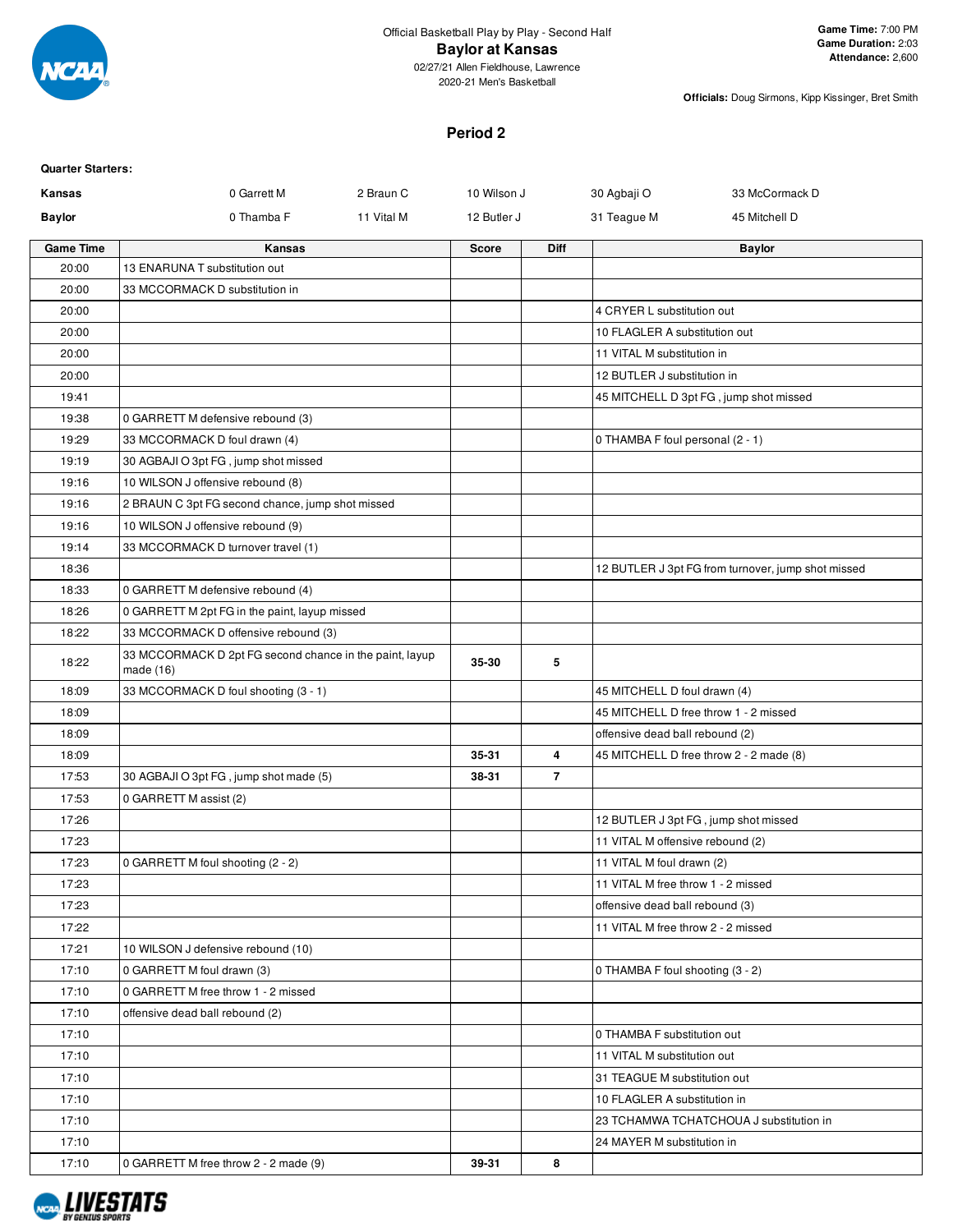

02/27/21 Allen Fieldhouse, Lawrence 2020-21 Men's Basketball

**Officials:** Doug Sirmons, Kipp Kissinger, Bret Smith

#### **Period 2**

| <b>Quarter Starters:</b> |                                                                        |            |              |                |                                    |                                                    |
|--------------------------|------------------------------------------------------------------------|------------|--------------|----------------|------------------------------------|----------------------------------------------------|
| Kansas                   | 0 Garrett M                                                            | 2 Braun C  | 10 Wilson J  |                | 30 Agbaji O                        | 33 McCormack D                                     |
| <b>Baylor</b>            | 0 Thamba F                                                             | 11 Vital M | 12 Butler J  |                | 31 Teague M                        | 45 Mitchell D                                      |
| <b>Game Time</b>         | Kansas                                                                 |            | <b>Score</b> | Diff           |                                    | <b>Baylor</b>                                      |
| 20:00                    | 13 ENARUNA T substitution out                                          |            |              |                |                                    |                                                    |
| 20:00                    | 33 MCCORMACK D substitution in                                         |            |              |                |                                    |                                                    |
| 20:00                    |                                                                        |            |              |                | 4 CRYER L substitution out         |                                                    |
| 20:00                    |                                                                        |            |              |                | 10 FLAGLER A substitution out      |                                                    |
| 20:00                    |                                                                        |            |              |                | 11 VITAL M substitution in         |                                                    |
| 20:00                    |                                                                        |            |              |                | 12 BUTLER J substitution in        |                                                    |
| 19:41                    |                                                                        |            |              |                |                                    | 45 MITCHELL D 3pt FG, jump shot missed             |
| 19:38                    | 0 GARRETT M defensive rebound (3)                                      |            |              |                |                                    |                                                    |
| 19:29                    | 33 MCCORMACK D foul drawn (4)                                          |            |              |                | 0 THAMBA F foul personal (2 - 1)   |                                                    |
| 19:19                    | 30 AGBAJI O 3pt FG, jump shot missed                                   |            |              |                |                                    |                                                    |
| 19:16                    | 10 WILSON J offensive rebound (8)                                      |            |              |                |                                    |                                                    |
| 19:16                    | 2 BRAUN C 3pt FG second chance, jump shot missed                       |            |              |                |                                    |                                                    |
| 19:16                    | 10 WILSON J offensive rebound (9)                                      |            |              |                |                                    |                                                    |
| 19:14                    | 33 MCCORMACK D turnover travel (1)                                     |            |              |                |                                    |                                                    |
| 18:36                    |                                                                        |            |              |                |                                    | 12 BUTLER J 3pt FG from turnover, jump shot missed |
| 18:33                    | 0 GARRETT M defensive rebound (4)                                      |            |              |                |                                    |                                                    |
| 18:26                    | 0 GARRETT M 2pt FG in the paint, layup missed                          |            |              |                |                                    |                                                    |
| 18:22                    | 33 MCCORMACK D offensive rebound (3)                                   |            |              |                |                                    |                                                    |
| 18:22                    | 33 MCCORMACK D 2pt FG second chance in the paint, layup<br>made $(16)$ |            | 35-30        | 5              |                                    |                                                    |
| 18:09                    | 33 MCCORMACK D foul shooting (3 - 1)                                   |            |              |                | 45 MITCHELL D foul drawn (4)       |                                                    |
| 18:09                    |                                                                        |            |              |                |                                    | 45 MITCHELL D free throw 1 - 2 missed              |
| 18:09                    |                                                                        |            |              |                | offensive dead ball rebound (2)    |                                                    |
| 18:09                    |                                                                        |            | 35-31        | 4              |                                    | 45 MITCHELL D free throw 2 - 2 made (8)            |
| 17:53                    | 30 AGBAJI O 3pt FG, jump shot made (5)                                 |            | 38-31        | $\overline{7}$ |                                    |                                                    |
| 17:53                    | 0 GARRETT M assist (2)                                                 |            |              |                |                                    |                                                    |
| 17:26                    |                                                                        |            |              |                |                                    | 12 BUTLER J 3pt FG, jump shot missed               |
| 17:23                    |                                                                        |            |              |                | 11 VITAL M offensive rebound (2)   |                                                    |
| 17:23                    | 0 GARRETT M foul shooting (2 - 2)                                      |            |              |                | 11 VITAL M foul drawn (2)          |                                                    |
| 17:23                    |                                                                        |            |              |                | 11 VITAL M free throw 1 - 2 missed |                                                    |
| 17:23                    |                                                                        |            |              |                | offensive dead ball rebound (3)    |                                                    |
| 17:22                    |                                                                        |            |              |                | 11 VITAL M free throw 2 - 2 missed |                                                    |
| 17:21                    | 10 WILSON J defensive rebound (10)                                     |            |              |                |                                    |                                                    |
| 17:10                    | 0 GARRETT M foul drawn (3)                                             |            |              |                | 0 THAMBA F foul shooting (3 - 2)   |                                                    |
| 17:10                    | 0 GARRETT M free throw 1 - 2 missed                                    |            |              |                |                                    |                                                    |
| 17:10                    | offensive dead ball rebound (2)                                        |            |              |                |                                    |                                                    |
| 17:10                    |                                                                        |            |              |                | 0 THAMBA F substitution out        |                                                    |
| 17:10                    |                                                                        |            |              |                | 11 VITAL M substitution out        |                                                    |
| 17:10                    |                                                                        |            |              |                | 31 TEAGUE M substitution out       |                                                    |
| 17:10                    |                                                                        |            |              |                | 10 FLAGLER A substitution in       |                                                    |
| 17:10                    |                                                                        |            |              |                |                                    | 23 TCHAMWA TCHATCHOUA J substitution in            |
| 17:10                    |                                                                        |            |              |                | 24 MAYER M substitution in         |                                                    |
| 17:10                    | 0 GARRETT M free throw 2 - 2 made (9)                                  |            | 39-31        | 8              |                                    |                                                    |

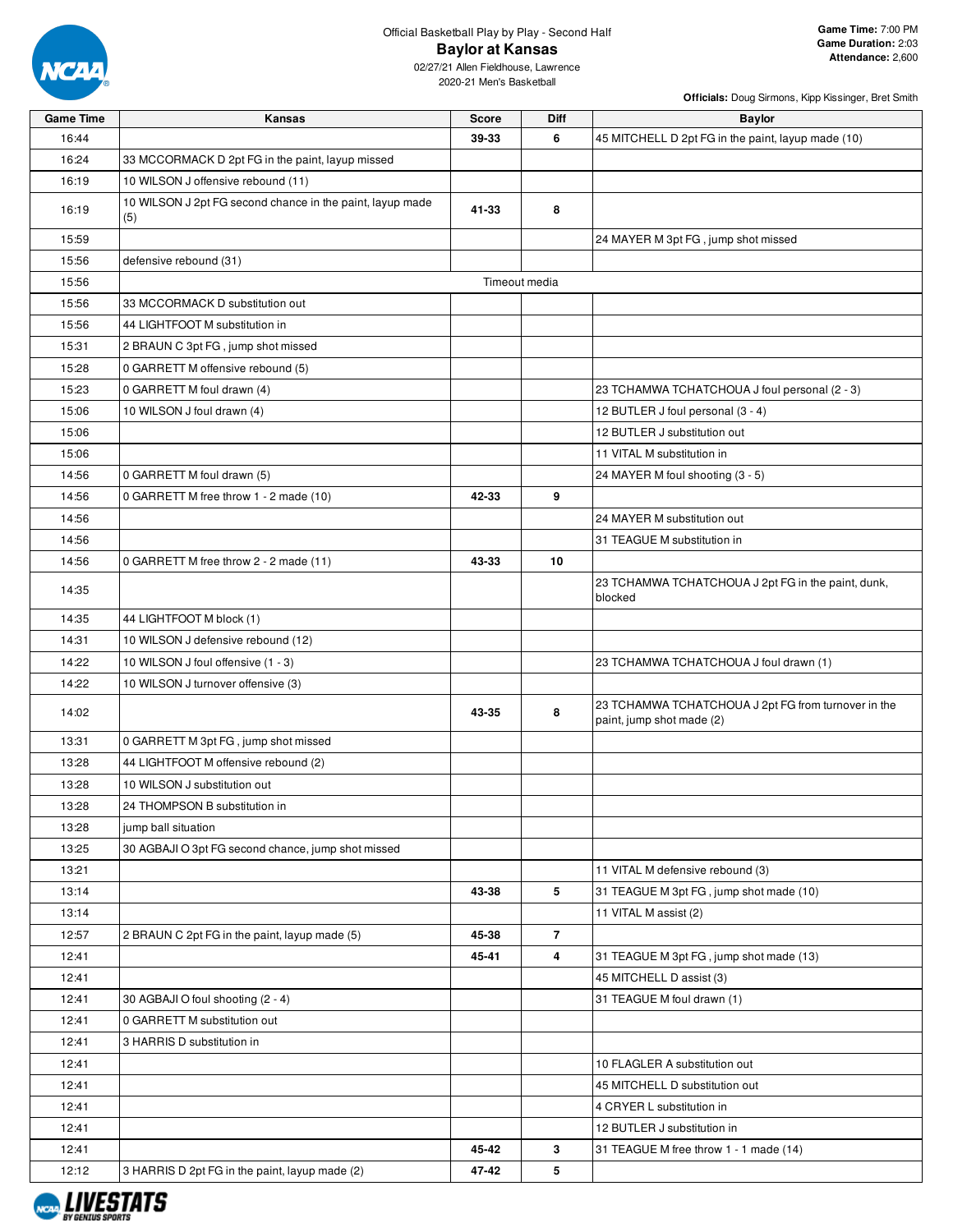

**Officials:** Doug Sirmons, Kipp Kissinger, Bret Smith

| <b>Game Time</b> | Kansas                                                           | Score | Diff           | <b>Baylor</b>                                                                    |
|------------------|------------------------------------------------------------------|-------|----------------|----------------------------------------------------------------------------------|
| 16:44            |                                                                  | 39-33 | 6              | 45 MITCHELL D 2pt FG in the paint, layup made (10)                               |
| 16:24            | 33 MCCORMACK D 2pt FG in the paint, layup missed                 |       |                |                                                                                  |
| 16:19            | 10 WILSON J offensive rebound (11)                               |       |                |                                                                                  |
| 16:19            | 10 WILSON J 2pt FG second chance in the paint, layup made<br>(5) | 41-33 | 8              |                                                                                  |
| 15:59            |                                                                  |       |                | 24 MAYER M 3pt FG, jump shot missed                                              |
| 15:56            | defensive rebound (31)                                           |       |                |                                                                                  |
| 15:56            |                                                                  |       | Timeout media  |                                                                                  |
| 15:56            | 33 MCCORMACK D substitution out                                  |       |                |                                                                                  |
| 15:56            | 44 LIGHTFOOT M substitution in                                   |       |                |                                                                                  |
| 15:31            | 2 BRAUN C 3pt FG, jump shot missed                               |       |                |                                                                                  |
| 15:28            | 0 GARRETT M offensive rebound (5)                                |       |                |                                                                                  |
| 15:23            | 0 GARRETT M foul drawn (4)                                       |       |                | 23 TCHAMWA TCHATCHOUA J foul personal (2 - 3)                                    |
| 15:06            | 10 WILSON J foul drawn (4)                                       |       |                | 12 BUTLER J foul personal (3 - 4)                                                |
| 15:06            |                                                                  |       |                | 12 BUTLER J substitution out                                                     |
| 15:06            |                                                                  |       |                | 11 VITAL M substitution in                                                       |
| 14:56            | 0 GARRETT M foul drawn (5)                                       |       |                | 24 MAYER M foul shooting (3 - 5)                                                 |
| 14:56            | 0 GARRETT M free throw 1 - 2 made (10)                           | 42-33 | 9              |                                                                                  |
| 14:56            |                                                                  |       |                | 24 MAYER M substitution out                                                      |
| 14:56            |                                                                  |       |                | 31 TEAGUE M substitution in                                                      |
| 14:56            | 0 GARRETT M free throw 2 - 2 made (11)                           | 43-33 | 10             |                                                                                  |
| 14:35            |                                                                  |       |                | 23 TCHAMWA TCHATCHOUA J 2pt FG in the paint, dunk,<br>blocked                    |
| 14:35            | 44 LIGHTFOOT M block (1)                                         |       |                |                                                                                  |
| 14:31            | 10 WILSON J defensive rebound (12)                               |       |                |                                                                                  |
| 14:22            | 10 WILSON J foul offensive (1 - 3)                               |       |                | 23 TCHAMWA TCHATCHOUA J foul drawn (1)                                           |
| 14:22            | 10 WILSON J turnover offensive (3)                               |       |                |                                                                                  |
| 14:02            |                                                                  | 43-35 | 8              | 23 TCHAMWA TCHATCHOUA J 2pt FG from turnover in the<br>paint, jump shot made (2) |
| 13:31            | 0 GARRETT M 3pt FG, jump shot missed                             |       |                |                                                                                  |
| 13:28            | 44 LIGHTFOOT M offensive rebound (2)                             |       |                |                                                                                  |
| 13:28            | 10 WILSON J substitution out                                     |       |                |                                                                                  |
| 13:28            | 24 THOMPSON B substitution in                                    |       |                |                                                                                  |
| 13:28            | jump ball situation                                              |       |                |                                                                                  |
| 13:25            | 30 AGBAJI O 3pt FG second chance, jump shot missed               |       |                |                                                                                  |
| 13:21            |                                                                  |       |                | 11 VITAL M defensive rebound (3)                                                 |
| 13:14            |                                                                  | 43-38 | 5              | 31 TEAGUE M 3pt FG, jump shot made (10)                                          |
| 13:14            |                                                                  |       |                | 11 VITAL M assist (2)                                                            |
| 12:57            | 2 BRAUN C 2pt FG in the paint, layup made (5)                    | 45-38 | $\overline{7}$ |                                                                                  |
| 12:41            |                                                                  | 45-41 | 4              | 31 TEAGUE M 3pt FG, jump shot made (13)                                          |
| 12:41            |                                                                  |       |                | 45 MITCHELL D assist (3)                                                         |
| 12:41            | 30 AGBAJI O foul shooting (2 - 4)                                |       |                | 31 TEAGUE M foul drawn (1)                                                       |
| 12:41            | 0 GARRETT M substitution out                                     |       |                |                                                                                  |
| 12:41            | 3 HARRIS D substitution in                                       |       |                |                                                                                  |
| 12:41            |                                                                  |       |                | 10 FLAGLER A substitution out                                                    |
| 12:41            |                                                                  |       |                | 45 MITCHELL D substitution out                                                   |
| 12:41            |                                                                  |       |                | 4 CRYER L substitution in                                                        |
| 12:41            |                                                                  |       |                | 12 BUTLER J substitution in                                                      |
| 12:41            |                                                                  | 45-42 | 3              | 31 TEAGUE M free throw 1 - 1 made (14)                                           |
| 12:12            | 3 HARRIS D 2pt FG in the paint, layup made (2)                   | 47-42 | 5              |                                                                                  |

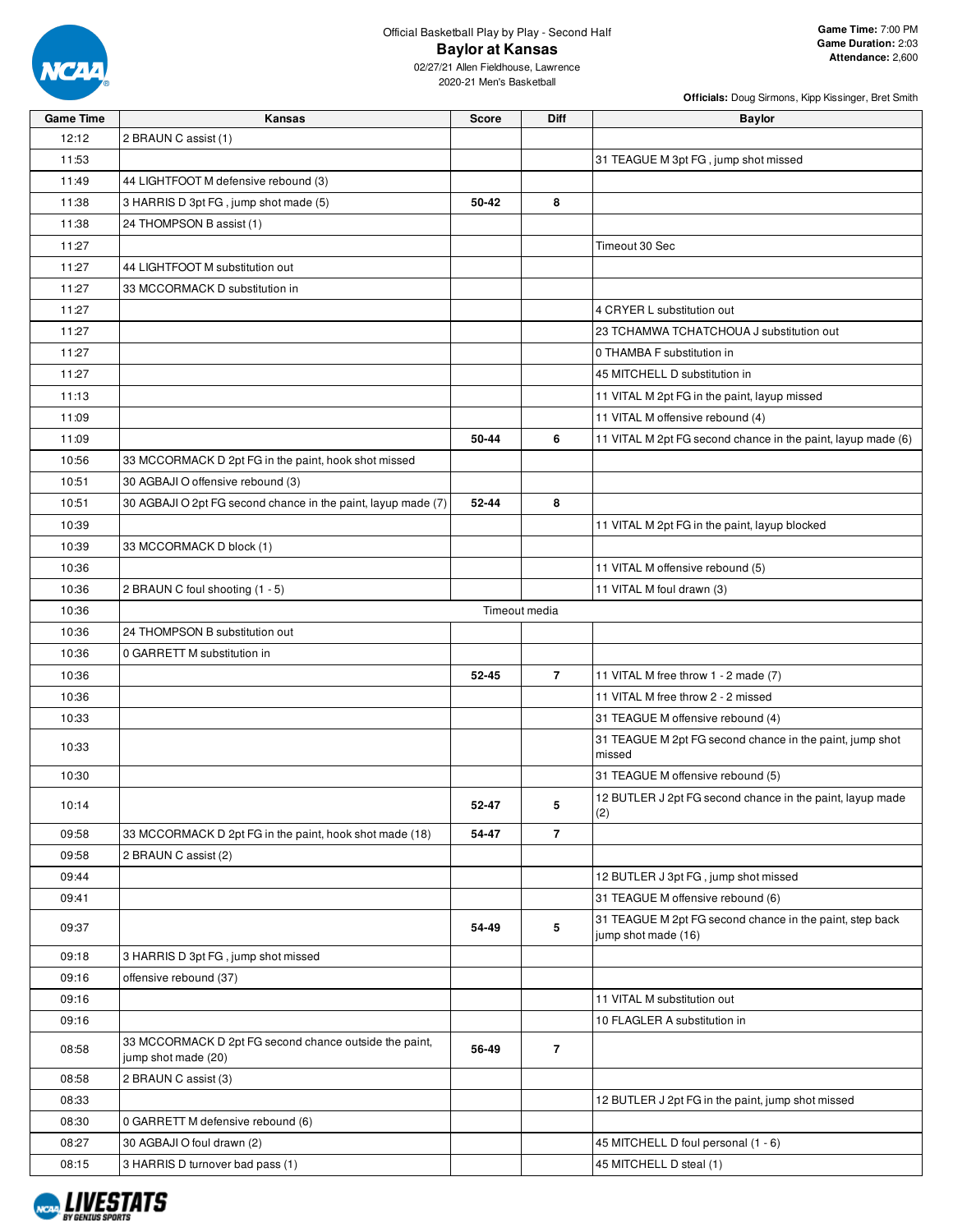

| Officials: Doug Sirmons, Kipp Kissinger, Bret Smith |
|-----------------------------------------------------|
|-----------------------------------------------------|

| <b>Game Time</b> | Kansas                                                                        | <b>Score</b> | Diff           | <b>Baylor</b>                                                                   |
|------------------|-------------------------------------------------------------------------------|--------------|----------------|---------------------------------------------------------------------------------|
| 12:12            | 2 BRAUN C assist (1)                                                          |              |                |                                                                                 |
| 11:53            |                                                                               |              |                | 31 TEAGUE M 3pt FG, jump shot missed                                            |
| 11:49            | 44 LIGHTFOOT M defensive rebound (3)                                          |              |                |                                                                                 |
| 11:38            | 3 HARRIS D 3pt FG, jump shot made (5)                                         | 50-42        | 8              |                                                                                 |
| 11:38            | 24 THOMPSON B assist (1)                                                      |              |                |                                                                                 |
| 11:27            |                                                                               |              |                | Timeout 30 Sec                                                                  |
| 11:27            | 44 LIGHTFOOT M substitution out                                               |              |                |                                                                                 |
| 11:27            | 33 MCCORMACK D substitution in                                                |              |                |                                                                                 |
| 11:27            |                                                                               |              |                | 4 CRYER L substitution out                                                      |
| 11:27            |                                                                               |              |                | 23 TCHAMWA TCHATCHOUA J substitution out                                        |
| 11:27            |                                                                               |              |                | 0 THAMBA F substitution in                                                      |
| 11:27            |                                                                               |              |                | 45 MITCHELL D substitution in                                                   |
| 11:13            |                                                                               |              |                | 11 VITAL M 2pt FG in the paint, layup missed                                    |
| 11:09            |                                                                               |              |                | 11 VITAL M offensive rebound (4)                                                |
| 11:09            |                                                                               | 50-44        | 6              | 11 VITAL M 2pt FG second chance in the paint, layup made (6)                    |
| 10:56            | 33 MCCORMACK D 2pt FG in the paint, hook shot missed                          |              |                |                                                                                 |
| 10:51            | 30 AGBAJI O offensive rebound (3)                                             |              |                |                                                                                 |
| 10:51            | 30 AGBAJI O 2pt FG second chance in the paint, layup made (7)                 | 52-44        | 8              |                                                                                 |
| 10:39            |                                                                               |              |                | 11 VITAL M 2pt FG in the paint, layup blocked                                   |
| 10:39            | 33 MCCORMACK D block (1)                                                      |              |                |                                                                                 |
| 10:36            |                                                                               |              |                | 11 VITAL M offensive rebound (5)                                                |
| 10:36            | 2 BRAUN C foul shooting (1 - 5)                                               |              |                | 11 VITAL M foul drawn (3)                                                       |
| 10:36            |                                                                               |              | Timeout media  |                                                                                 |
| 10:36            | 24 THOMPSON B substitution out                                                |              |                |                                                                                 |
| 10:36            | 0 GARRETT M substitution in                                                   |              |                |                                                                                 |
| 10:36            |                                                                               | 52-45        | $\overline{7}$ | 11 VITAL M free throw 1 - 2 made (7)                                            |
| 10:36            |                                                                               |              |                | 11 VITAL M free throw 2 - 2 missed                                              |
| 10:33            |                                                                               |              |                | 31 TEAGUE M offensive rebound (4)                                               |
| 10:33            |                                                                               |              |                | 31 TEAGUE M 2pt FG second chance in the paint, jump shot                        |
|                  |                                                                               |              |                | missed                                                                          |
| 10:30            |                                                                               |              |                | 31 TEAGUE M offensive rebound (5)                                               |
| 10:14            |                                                                               | 52-47        | 5              | 12 BUTLER J 2pt FG second chance in the paint, layup made<br>(2)                |
| 09:58            | 33 MCCORMACK D 2pt FG in the paint, hook shot made (18)                       | 54-47        | 7              |                                                                                 |
| 09:58            | 2 BRAUN C assist (2)                                                          |              |                |                                                                                 |
| 09:44            |                                                                               |              |                | 12 BUTLER J 3pt FG, jump shot missed                                            |
| 09:41            |                                                                               |              |                | 31 TEAGUE M offensive rebound (6)                                               |
| 09:37            |                                                                               | 54-49        | 5              | 31 TEAGUE M 2pt FG second chance in the paint, step back<br>jump shot made (16) |
| 09:18            | 3 HARRIS D 3pt FG, jump shot missed                                           |              |                |                                                                                 |
| 09:16            | offensive rebound (37)                                                        |              |                |                                                                                 |
| 09:16            |                                                                               |              |                | 11 VITAL M substitution out                                                     |
| 09:16            |                                                                               |              |                | 10 FLAGLER A substitution in                                                    |
| 08:58            | 33 MCCORMACK D 2pt FG second chance outside the paint,<br>jump shot made (20) | 56-49        | $\overline{7}$ |                                                                                 |
| 08:58            | 2 BRAUN C assist (3)                                                          |              |                |                                                                                 |
| 08:33            |                                                                               |              |                | 12 BUTLER J 2pt FG in the paint, jump shot missed                               |
| 08:30            | 0 GARRETT M defensive rebound (6)                                             |              |                |                                                                                 |
| 08:27            | 30 AGBAJI O foul drawn (2)                                                    |              |                | 45 MITCHELL D foul personal (1 - 6)                                             |
| 08:15            | 3 HARRIS D turnover bad pass (1)                                              |              |                | 45 MITCHELL D steal (1)                                                         |

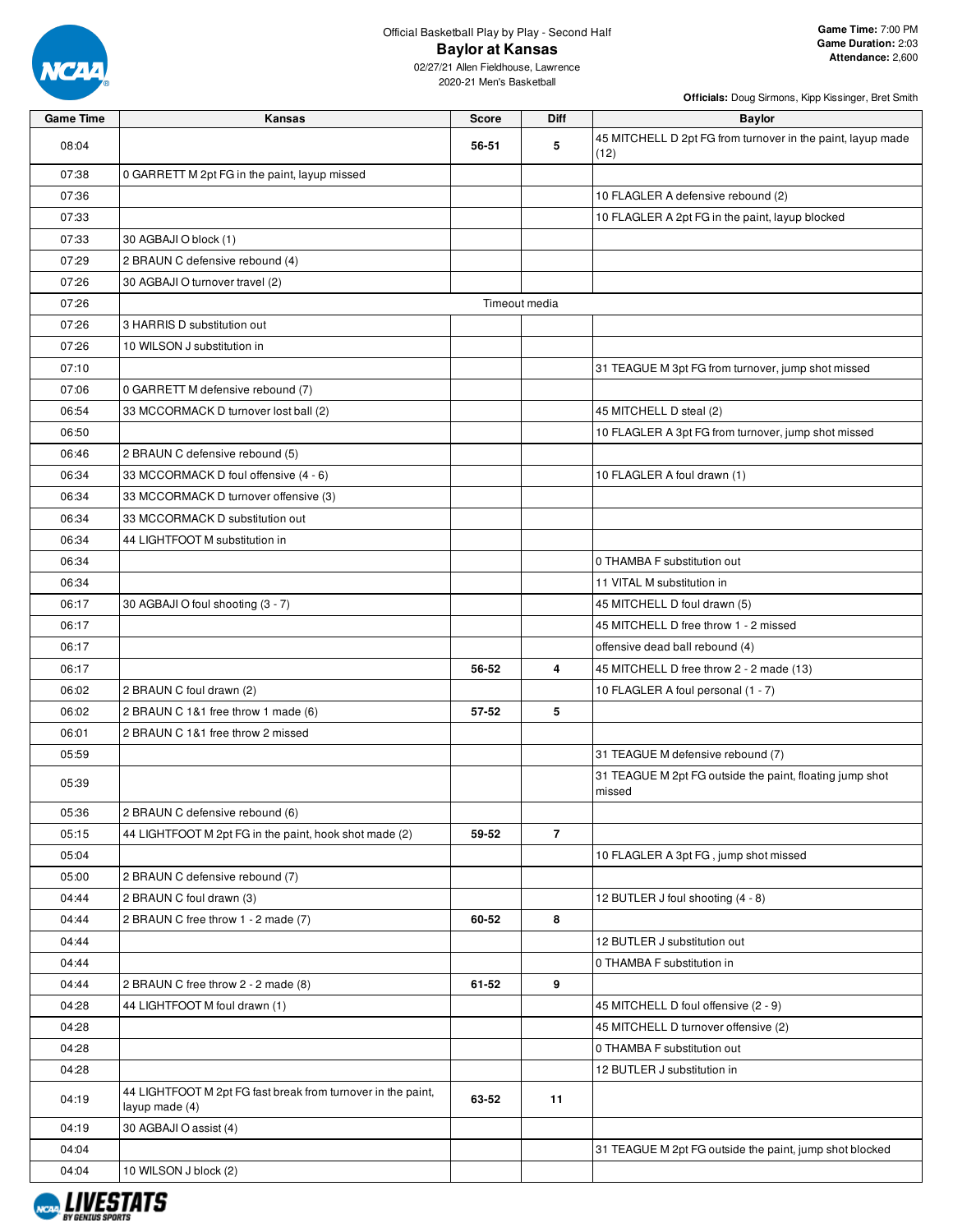

02/27/21 Allen Fieldhouse, Lawrence 2020-21 Men's Basketball

| <b>Game Time</b> | Kansas                                                                         | <b>Score</b> | Diff           | <b>Baylor</b>                                                       |
|------------------|--------------------------------------------------------------------------------|--------------|----------------|---------------------------------------------------------------------|
| 08:04            |                                                                                | 56-51        | 5              | 45 MITCHELL D 2pt FG from turnover in the paint, layup made<br>(12) |
| 07:38            | 0 GARRETT M 2pt FG in the paint, layup missed                                  |              |                |                                                                     |
| 07:36            |                                                                                |              |                | 10 FLAGLER A defensive rebound (2)                                  |
| 07:33            |                                                                                |              |                | 10 FLAGLER A 2pt FG in the paint, layup blocked                     |
| 07:33            | 30 AGBAJI O block (1)                                                          |              |                |                                                                     |
| 07:29            | 2 BRAUN C defensive rebound (4)                                                |              |                |                                                                     |
| 07:26            | 30 AGBAJI O turnover travel (2)                                                |              |                |                                                                     |
| 07:26            |                                                                                |              | Timeout media  |                                                                     |
| 07:26            | 3 HARRIS D substitution out                                                    |              |                |                                                                     |
| 07:26            | 10 WILSON J substitution in                                                    |              |                |                                                                     |
| 07:10            |                                                                                |              |                | 31 TEAGUE M 3pt FG from turnover, jump shot missed                  |
| 07:06            | 0 GARRETT M defensive rebound (7)                                              |              |                |                                                                     |
| 06:54            | 33 MCCORMACK D turnover lost ball (2)                                          |              |                | 45 MITCHELL D steal (2)                                             |
| 06:50            |                                                                                |              |                | 10 FLAGLER A 3pt FG from turnover, jump shot missed                 |
| 06:46            | 2 BRAUN C defensive rebound (5)                                                |              |                |                                                                     |
| 06:34            | 33 MCCORMACK D foul offensive (4 - 6)                                          |              |                | 10 FLAGLER A foul drawn (1)                                         |
| 06:34            | 33 MCCORMACK D turnover offensive (3)                                          |              |                |                                                                     |
| 06:34            | 33 MCCORMACK D substitution out                                                |              |                |                                                                     |
| 06:34            | 44 LIGHTFOOT M substitution in                                                 |              |                |                                                                     |
| 06:34            |                                                                                |              |                | 0 THAMBA F substitution out                                         |
| 06:34            |                                                                                |              |                | 11 VITAL M substitution in                                          |
| 06:17            | 30 AGBAJI O foul shooting (3 - 7)                                              |              |                | 45 MITCHELL D foul drawn (5)                                        |
| 06:17            |                                                                                |              |                | 45 MITCHELL D free throw 1 - 2 missed                               |
| 06:17            |                                                                                |              |                | offensive dead ball rebound (4)                                     |
| 06:17            |                                                                                | 56-52        | 4              | 45 MITCHELL D free throw 2 - 2 made (13)                            |
| 06:02            | 2 BRAUN C foul drawn (2)                                                       |              |                | 10 FLAGLER A foul personal (1 - 7)                                  |
| 06:02            | 2 BRAUN C 1&1 free throw 1 made (6)                                            | 57-52        | 5              |                                                                     |
| 06:01            | 2 BRAUN C 1&1 free throw 2 missed                                              |              |                |                                                                     |
| 05:59            |                                                                                |              |                | 31 TEAGUE M defensive rebound (7)                                   |
| 05:39            |                                                                                |              |                | 31 TEAGUE M 2pt FG outside the paint, floating jump shot            |
|                  |                                                                                |              |                | missed                                                              |
| 05:36            | 2 BRAUN C defensive rebound (6)                                                |              |                |                                                                     |
| 05:15            | 44 LIGHTFOOT M 2pt FG in the paint, hook shot made (2)                         | 59-52        | $\overline{7}$ |                                                                     |
| 05:04            |                                                                                |              |                | 10 FLAGLER A 3pt FG, jump shot missed                               |
| 05:00            | 2 BRAUN C defensive rebound (7)                                                |              |                |                                                                     |
| 04:44            | 2 BRAUN C foul drawn (3)                                                       |              |                | 12 BUTLER J foul shooting (4 - 8)                                   |
| 04:44            | 2 BRAUN C free throw 1 - 2 made (7)                                            | 60-52        | 8              |                                                                     |
| 04:44            |                                                                                |              |                | 12 BUTLER J substitution out                                        |
| 04:44            |                                                                                |              |                | 0 THAMBA F substitution in                                          |
| 04:44            | 2 BRAUN C free throw 2 - 2 made (8)                                            | 61-52        | 9              |                                                                     |
| 04:28            | 44 LIGHTFOOT M foul drawn (1)                                                  |              |                | 45 MITCHELL D foul offensive (2 - 9)                                |
| 04:28            |                                                                                |              |                | 45 MITCHELL D turnover offensive (2)                                |
| 04:28            |                                                                                |              |                | 0 THAMBA F substitution out                                         |
| 04:28            |                                                                                |              |                | 12 BUTLER J substitution in                                         |
| 04:19            | 44 LIGHTFOOT M 2pt FG fast break from turnover in the paint,<br>layup made (4) | 63-52        | 11             |                                                                     |
| 04:19            | 30 AGBAJI O assist (4)                                                         |              |                |                                                                     |
| 04:04            |                                                                                |              |                | 31 TEAGUE M 2pt FG outside the paint, jump shot blocked             |
| 04:04            | 10 WILSON J block (2)                                                          |              |                |                                                                     |

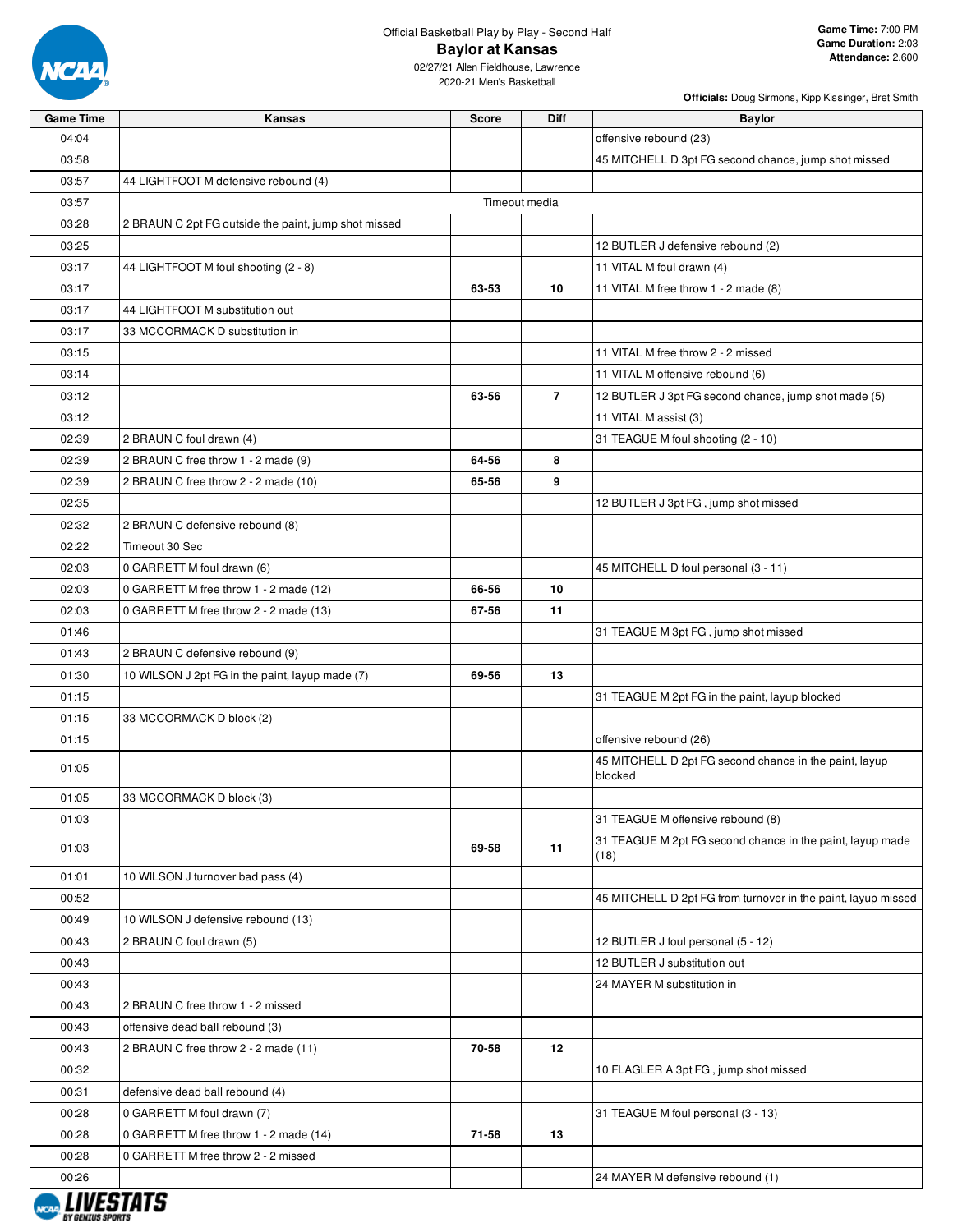

| <b>Game Time</b> | Kansas                                               | <b>Score</b> | <b>Diff</b>    | <b>Baylor</b>                                                 |
|------------------|------------------------------------------------------|--------------|----------------|---------------------------------------------------------------|
| 04:04            |                                                      |              |                | offensive rebound (23)                                        |
| 03:58            |                                                      |              |                | 45 MITCHELL D 3pt FG second chance, jump shot missed          |
| 03:57            | 44 LIGHTFOOT M defensive rebound (4)                 |              |                |                                                               |
| 03:57            |                                                      |              | Timeout media  |                                                               |
| 03:28            | 2 BRAUN C 2pt FG outside the paint, jump shot missed |              |                |                                                               |
| 03:25            |                                                      |              |                | 12 BUTLER J defensive rebound (2)                             |
| 03:17            | 44 LIGHTFOOT M foul shooting (2 - 8)                 |              |                | 11 VITAL M foul drawn (4)                                     |
| 03:17            |                                                      | 63-53        | 10             | 11 VITAL M free throw 1 - 2 made (8)                          |
| 03:17            | 44 LIGHTFOOT M substitution out                      |              |                |                                                               |
| 03:17            | 33 MCCORMACK D substitution in                       |              |                |                                                               |
| 03:15            |                                                      |              |                | 11 VITAL M free throw 2 - 2 missed                            |
| 03:14            |                                                      |              |                | 11 VITAL M offensive rebound (6)                              |
| 03:12            |                                                      | 63-56        | $\overline{7}$ | 12 BUTLER J 3pt FG second chance, jump shot made (5)          |
| 03:12            |                                                      |              |                | 11 VITAL M assist (3)                                         |
| 02:39            | 2 BRAUN C foul drawn (4)                             |              |                | 31 TEAGUE M foul shooting (2 - 10)                            |
| 02:39            | 2 BRAUN C free throw 1 - 2 made (9)                  | 64-56        | 8              |                                                               |
| 02:39            | 2 BRAUN C free throw 2 - 2 made (10)                 | 65-56        | 9              |                                                               |
| 02:35            |                                                      |              |                | 12 BUTLER J 3pt FG, jump shot missed                          |
| 02:32            | 2 BRAUN C defensive rebound (8)                      |              |                |                                                               |
| 02:22            | Timeout 30 Sec                                       |              |                |                                                               |
| 02:03            | 0 GARRETT M foul drawn (6)                           |              |                | 45 MITCHELL D foul personal (3 - 11)                          |
| 02:03            | 0 GARRETT M free throw 1 - 2 made (12)               | 66-56        | 10             |                                                               |
| 02:03            | 0 GARRETT M free throw 2 - 2 made (13)               | 67-56        | 11             |                                                               |
| 01:46            |                                                      |              |                | 31 TEAGUE M 3pt FG, jump shot missed                          |
| 01:43            | 2 BRAUN C defensive rebound (9)                      |              |                |                                                               |
| 01:30            | 10 WILSON J 2pt FG in the paint, layup made (7)      | 69-56        | 13             |                                                               |
| 01:15            |                                                      |              |                | 31 TEAGUE M 2pt FG in the paint, layup blocked                |
| 01:15            | 33 MCCORMACK D block (2)                             |              |                |                                                               |
| 01:15            |                                                      |              |                | offensive rebound (26)                                        |
|                  |                                                      |              |                | 45 MITCHELL D 2pt FG second chance in the paint, layup        |
| 01:05            |                                                      |              |                | blocked                                                       |
| 01:05            | 33 MCCORMACK D block (3)                             |              |                |                                                               |
| 01:03            |                                                      |              |                | 31 TEAGUE M offensive rebound (8)                             |
|                  |                                                      |              | 11             | 31 TEAGUE M 2pt FG second chance in the paint, layup made     |
| 01:03            |                                                      | 69-58        |                | (18)                                                          |
| 01:01            | 10 WILSON J turnover bad pass (4)                    |              |                |                                                               |
| 00:52            |                                                      |              |                | 45 MITCHELL D 2pt FG from turnover in the paint, layup missed |
| 00:49            | 10 WILSON J defensive rebound (13)                   |              |                |                                                               |
| 00:43            | 2 BRAUN C foul drawn (5)                             |              |                | 12 BUTLER J foul personal (5 - 12)                            |
| 00:43            |                                                      |              |                | 12 BUTLER J substitution out                                  |
| 00:43            |                                                      |              |                | 24 MAYER M substitution in                                    |
| 00:43            | 2 BRAUN C free throw 1 - 2 missed                    |              |                |                                                               |
| 00:43            | offensive dead ball rebound (3)                      |              |                |                                                               |
| 00:43            | 2 BRAUN C free throw 2 - 2 made (11)                 | 70-58        | 12             |                                                               |
| 00:32            |                                                      |              |                | 10 FLAGLER A 3pt FG, jump shot missed                         |
| 00:31            | defensive dead ball rebound (4)                      |              |                |                                                               |
| 00:28            | 0 GARRETT M foul drawn (7)                           |              |                | 31 TEAGUE M foul personal (3 - 13)                            |
| 00:28            | 0 GARRETT M free throw 1 - 2 made (14)               | 71-58        | 13             |                                                               |
| 00:28            | 0 GARRETT M free throw 2 - 2 missed                  |              |                |                                                               |
| 00:26            |                                                      |              |                | 24 MAYER M defensive rebound (1)                              |

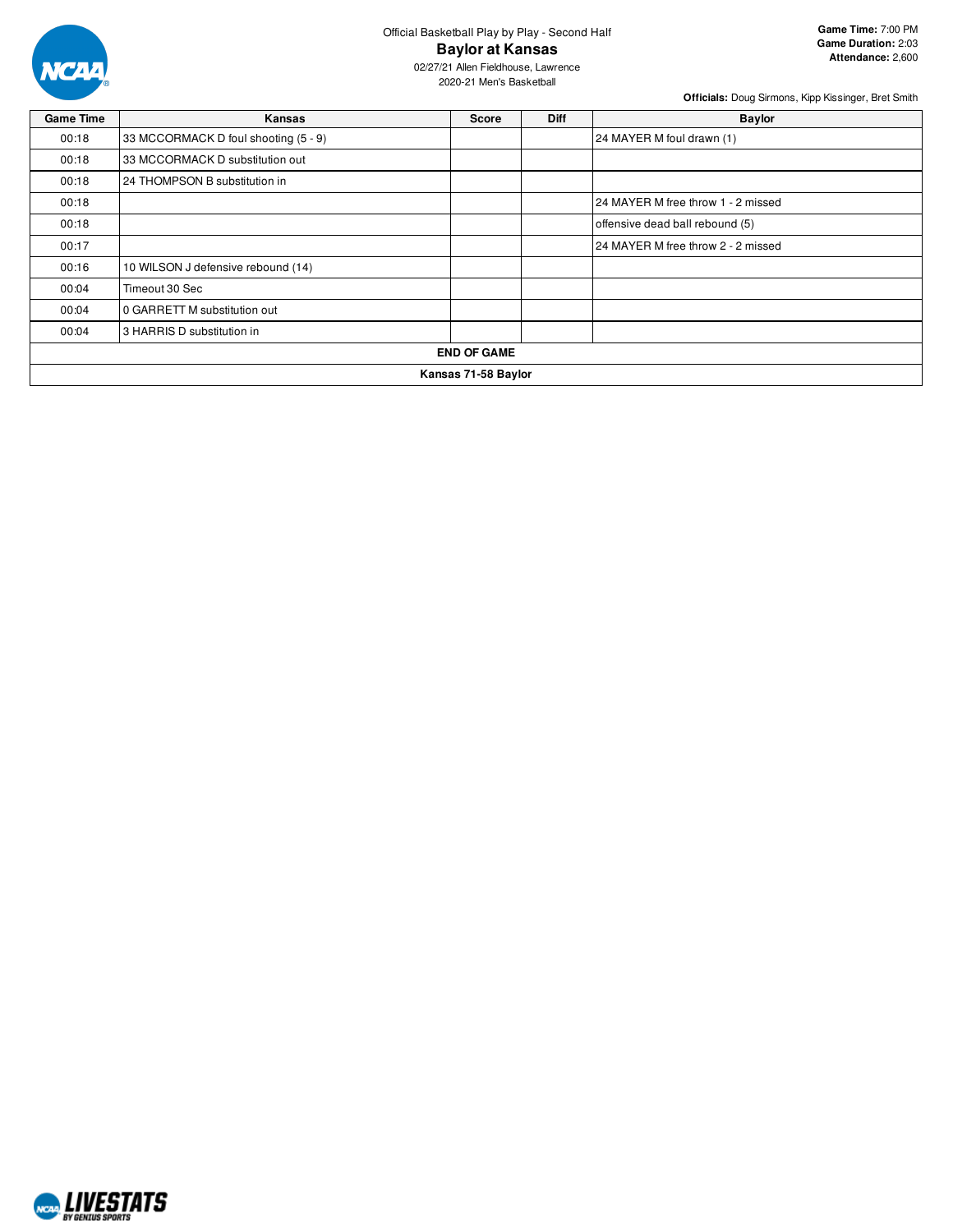

**Game Time:** 7:00 PM **Game Duration:** 2:03 **Attendance:** 2,600

02/27/21 Allen Fieldhouse, Lawrence 2020-21 Men's Basketball

| <b>Game Time</b> | Kansas                               | <b>Score</b> | <b>Diff</b> | <b>Baylor</b>                      |  |  |  |  |
|------------------|--------------------------------------|--------------|-------------|------------------------------------|--|--|--|--|
| 00:18            | 33 MCCORMACK D foul shooting (5 - 9) |              |             | 24 MAYER M foul drawn (1)          |  |  |  |  |
| 00:18            | 33 MCCORMACK D substitution out      |              |             |                                    |  |  |  |  |
| 00:18            | 24 THOMPSON B substitution in        |              |             |                                    |  |  |  |  |
| 00:18            |                                      |              |             | 24 MAYER M free throw 1 - 2 missed |  |  |  |  |
| 00:18            |                                      |              |             | offensive dead ball rebound (5)    |  |  |  |  |
| 00:17            |                                      |              |             | 24 MAYER M free throw 2 - 2 missed |  |  |  |  |
| 00:16            | 10 WILSON J defensive rebound (14)   |              |             |                                    |  |  |  |  |
| 00:04            | Timeout 30 Sec                       |              |             |                                    |  |  |  |  |
| 00:04            | 0 GARRETT M substitution out         |              |             |                                    |  |  |  |  |
| 00:04            | 3 HARRIS D substitution in           |              |             |                                    |  |  |  |  |
|                  | <b>END OF GAME</b>                   |              |             |                                    |  |  |  |  |
|                  | Kansas 71-58 Baylor                  |              |             |                                    |  |  |  |  |

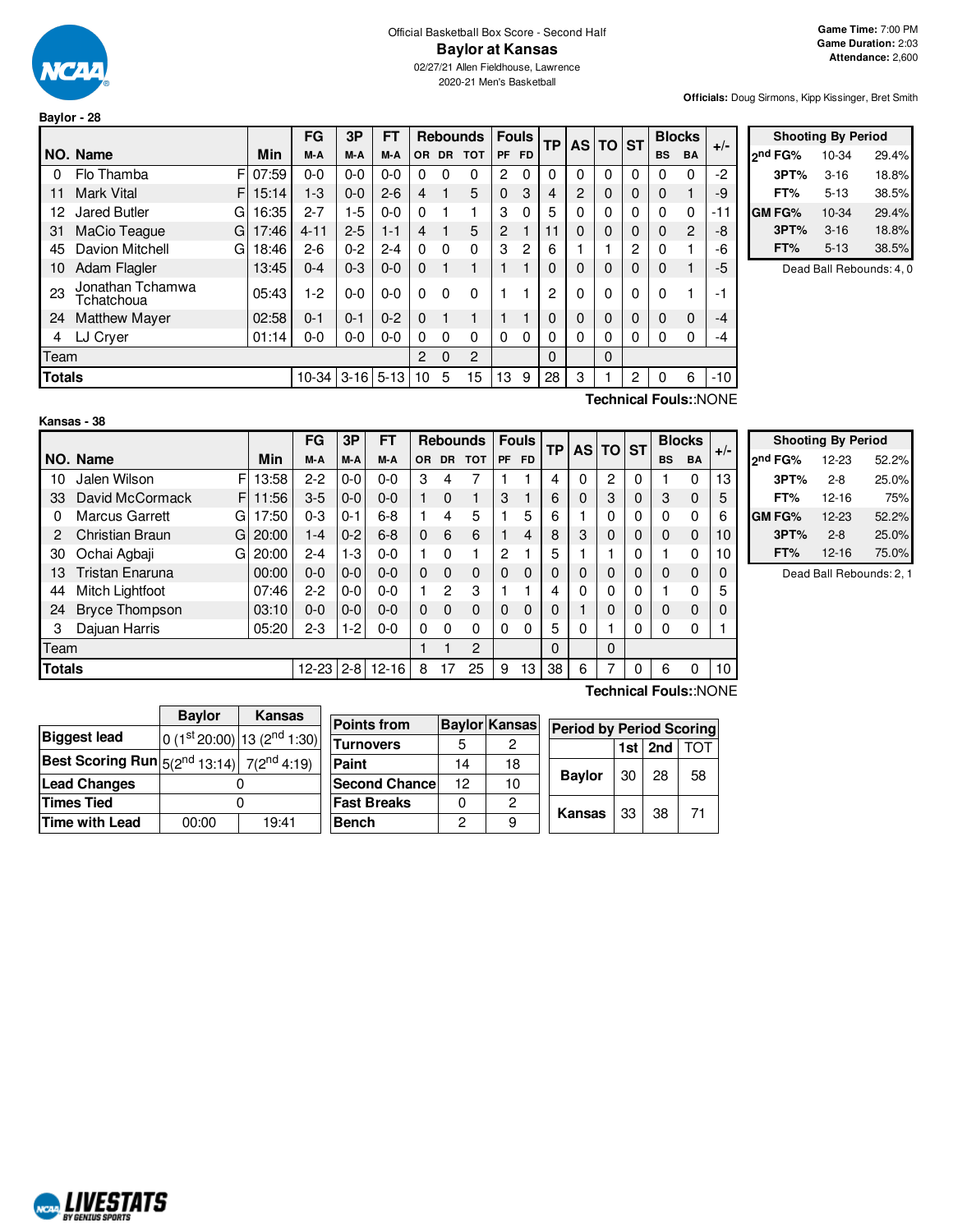

## Official Basketball Box Score - Second Half **Baylor at Kansas**

02/27/21 Allen Fieldhouse, Lawrence 2020-21 Men's Basketball

**Officials:** Doug Sirmons, Kipp Kissinger, Bret Smith

|    |                                    |            | FG       | 3P      | <b>FT</b> |                |           | <b>Rebounds</b> | <b>Fouls</b>   |           | ТP |   | $AS$ TO ST   |              | <b>Blocks</b> |           | $+/-$ |
|----|------------------------------------|------------|----------|---------|-----------|----------------|-----------|-----------------|----------------|-----------|----|---|--------------|--------------|---------------|-----------|-------|
|    | NO. Name                           | <b>Min</b> | M-A      | M-A     | M-A       | <b>OR</b>      | <b>DR</b> | <b>TOT</b>      | <b>PF</b>      | <b>FD</b> |    |   |              |              | <b>BS</b>     | <b>BA</b> |       |
| 0  | F<br>Flo Thamba                    | 07:59      | $0 - 0$  | $0-0$   | $0 - 0$   | 0              | 0         | 0               | 2              | 0         | 0  | 0 | 0            | 0            | 0             | 0         | $-2$  |
| 11 | <b>Mark Vital</b><br>F             | 15:14      | $1-3$    | $0-0$   | $2 - 6$   | 4              | 1         | 5               | $\Omega$       | 3         | 4  | 2 | $\mathbf 0$  | 0            | 0             |           | -9    |
| 12 | <b>Jared Butler</b><br>G           | 16:35      | $2 - 7$  | $1-5$   | $0 - 0$   | $\Omega$       |           | 1               | 3              | 0         | 5  | 0 | 0            | $\Omega$     | 0             | 0         | $-11$ |
| 31 | MaCio Teague<br>G                  | 17:46      | $4 - 11$ | $2 - 5$ | $1 - 1$   | $\overline{4}$ |           | 5               | $\overline{2}$ |           | 11 | 0 | $\Omega$     | 0            | 0             | 2         | -8    |
| 45 | Davion Mitchell<br>G               | 18:46      | $2 - 6$  | $0 - 2$ | $2 - 4$   | $\Omega$       | 0         | 0               | 3              | 2         | 6  |   |              | 2            | 0             |           | -6    |
| 10 | Adam Flagler                       | 13:45      | $0 - 4$  | $0 - 3$ | $0 - 0$   | $\Omega$       |           | 1               |                |           | 0  | 0 | 0            | 0            | 0             |           | $-5$  |
| 23 | Jonathan Tchamwa<br>Tchatchoua     | 05:43      | 1-2      | $0 - 0$ | $0 - 0$   | $\Omega$       | 0         | 0               |                |           | 2  | 0 | $\mathbf{0}$ | $\mathbf{0}$ | $\Omega$      |           | -1    |
| 24 | <b>Matthew Mayer</b>               | 02:58      | $0 - 1$  | $0 - 1$ | $0 - 2$   | $\Omega$       |           |                 |                |           | 0  | 0 | $\mathbf 0$  | 0            | 0             | 0         | $-4$  |
| 4  | LJ Cryer                           | 01:14      | $0 - 0$  | $0-0$   | $0-0$     | $\Omega$       | 0         | 0               | 0              | 0         | 0  | 0 | 0            | $\Omega$     | 0             | 0         | -4    |
|    | Team                               |            |          |         |           |                |           | 2               |                |           | 0  |   | $\Omega$     |              |               |           |       |
|    | $10-34$ 3-16 5-13<br><b>Totals</b> |            |          |         |           |                | 5         | 15              | 13             | 9         | 28 | 3 |              | 2            | 0             | 6         | $-10$ |
|    |                                    |            |          |         |           |                |           |                 |                |           |    |   |              |              |               |           |       |

| <b>Shooting By Period</b> |               |          |       |  |  |  |  |  |  |
|---------------------------|---------------|----------|-------|--|--|--|--|--|--|
|                           | ond FG%       | 10-34    | 29.4% |  |  |  |  |  |  |
|                           | 3PT%          | $3 - 16$ | 18.8% |  |  |  |  |  |  |
|                           | FT%           | $5 - 13$ | 38.5% |  |  |  |  |  |  |
|                           | <b>GM FG%</b> | 10-34    | 29.4% |  |  |  |  |  |  |
|                           | 3PT%          | $3 - 16$ | 18.8% |  |  |  |  |  |  |
|                           | FT%           | $5 - 13$ | 38.5% |  |  |  |  |  |  |

Dead Ball Rebounds: 4, 0

| Kansas - 38 |  |  |
|-------------|--|--|
|             |  |  |

**Technical Fouls:**:NONE

|               |                             |       | <b>FG</b> | 3P      | FT        |           |           | <b>Rebounds</b> |          | <b>Fouls</b> | ΤP       |          | <b>ASITO</b> | <b>ST</b> |           | <b>Blocks</b> |       |
|---------------|-----------------------------|-------|-----------|---------|-----------|-----------|-----------|-----------------|----------|--------------|----------|----------|--------------|-----------|-----------|---------------|-------|
|               | NO. Name                    | Min   | M-A       | M-A     | M-A       | <b>OR</b> | <b>DR</b> | <b>TOT</b>      | PF       | <b>FD</b>    |          |          |              |           | <b>BS</b> | <b>BA</b>     | $+/-$ |
| 10            | F<br>Jalen Wilson           | 13:58 | $2 - 2$   | $0-0$   | $0 - 0$   | 3         | 4         | 7               |          |              | 4        | 0        | 2            | 0         |           | 0             | 13    |
| 33            | David McCormack<br>F        | 11:56 | $3-5$     | $0-0$   | $0 - 0$   |           | $\Omega$  |                 | 3        |              | 6        | $\Omega$ | 3            | 0         | 3         | $\Omega$      | 5     |
| 0             | <b>Marcus Garrett</b><br>G  | 17:50 | $0 - 3$   | $0 - 1$ | $6 - 8$   |           | 4         | 5               |          | 5            | 6        |          | 0            | 0         | $\Omega$  | $\mathbf{0}$  | 6     |
| 2             | <b>Christian Braun</b><br>G | 20:00 | $1 - 4$   | $0 - 2$ | $6 - 8$   | $\Omega$  | 6         | 6               |          | 4            | 8        | 3        | $\Omega$     | 0         | $\Omega$  | $\Omega$      | 10    |
| 30            | Ochai Agbaji<br>G           | 20:00 | $2 - 4$   | $1-3$   | $0 - 0$   |           | 0         | 1               | 2        |              | 5        |          |              | 0         |           | $\Omega$      | 10    |
| 13            | <b>Tristan Enaruna</b>      | 00:00 | $0 - 0$   | $0-0$   | $0 - 0$   | $\Omega$  | $\Omega$  | $\Omega$        | $\Omega$ | $\Omega$     | $\Omega$ | $\Omega$ | $\Omega$     | $\Omega$  | $\Omega$  | $\Omega$      | 0     |
| 44            | Mitch Lightfoot             | 07:46 | $2-2$     | $0-0$   | $0 - 0$   |           | 2         | 3               |          |              | 4        | 0        | 0            | 0         |           | 0             | 5     |
| 24            | <b>Bryce Thompson</b>       | 03:10 | $0 - 0$   | $0-0$   | $0 - 0$   | $\Omega$  | $\Omega$  | $\Omega$        | $\Omega$ | $\Omega$     | $\Omega$ |          | 0            | $\Omega$  | $\Omega$  | $\Omega$      | 0     |
| 3             | Dajuan Harris               | 05:20 | $2 - 3$   | $1-2$   | $0 - 0$   | $\Omega$  | 0         | $\Omega$        | $\Omega$ | $\Omega$     | 5        | 0        |              | 0         | 0         | 0             |       |
| Team          |                             |       |           |         |           |           |           | $\overline{2}$  |          |              | $\Omega$ |          | $\Omega$     |           |           |               |       |
| <b>Totals</b> |                             |       | $12 - 23$ | l 2-8   | $12 - 16$ | 8         | 17        | 25              | 9        | 13           | 38       | 6        |              | 0         | 6         | $\Omega$      | 10    |

| <b>Shooting By Period</b> |           |       |  |  |  |  |  |  |  |
|---------------------------|-----------|-------|--|--|--|--|--|--|--|
| ond FG%                   | 12-23     | 52.2% |  |  |  |  |  |  |  |
| 3PT%                      | $2 - 8$   | 25.0% |  |  |  |  |  |  |  |
| FT%                       | $12 - 16$ | 75%   |  |  |  |  |  |  |  |
| GM FG%                    | $12 - 23$ | 52.2% |  |  |  |  |  |  |  |
| 3PT%                      | $2 - 8$   | 25.0% |  |  |  |  |  |  |  |
| FT%                       | $12 - 16$ | 75.0% |  |  |  |  |  |  |  |

Dead Ball Rebounds: 2, 1

|                                                              | <b>Baylor</b> | <b>Kansas</b>                           | <b>Points from</b> |
|--------------------------------------------------------------|---------------|-----------------------------------------|--------------------|
| <b>Biggest lead</b>                                          |               | $0(1st20:00)$ 13 (2 <sup>nd</sup> 1:30) | <b>Turnovers</b>   |
| <b>Best Scoring Run</b> $5(2^{nd} 13:14)$ 7( $2^{nd} 4:19$ ) |               |                                         | Paint              |
|                                                              |               |                                         |                    |
| <b>Lead Changes</b>                                          |               |                                         | <b>Second Chan</b> |
| <b>Times Tied</b>                                            |               |                                         | <b>Fast Breaks</b> |
| <b>Time with Lead</b>                                        | 00:00         | 19:41                                   | <b>Bench</b>       |

| <b>Points from</b>   |    | <b>Baylor Kansas</b> | <b>Period by Period Scoring</b> |               |     |         |            |  |  |
|----------------------|----|----------------------|---------------------------------|---------------|-----|---------|------------|--|--|
| <b>Turnovers</b>     |    |                      |                                 |               |     | 1st 2nd | <b>TOT</b> |  |  |
| Paint                | 14 | 18                   |                                 |               |     |         |            |  |  |
| <b>Second Chance</b> | 12 | 10                   |                                 | <b>Baylor</b> | 30  | 28      | 58         |  |  |
| <b>Fast Breaks</b>   |    | 2                    |                                 | Kansas        | -33 |         | 71         |  |  |
| Bench                | 2  | 9                    |                                 |               |     | 38      |            |  |  |

**Technical Fouls:**:NONE

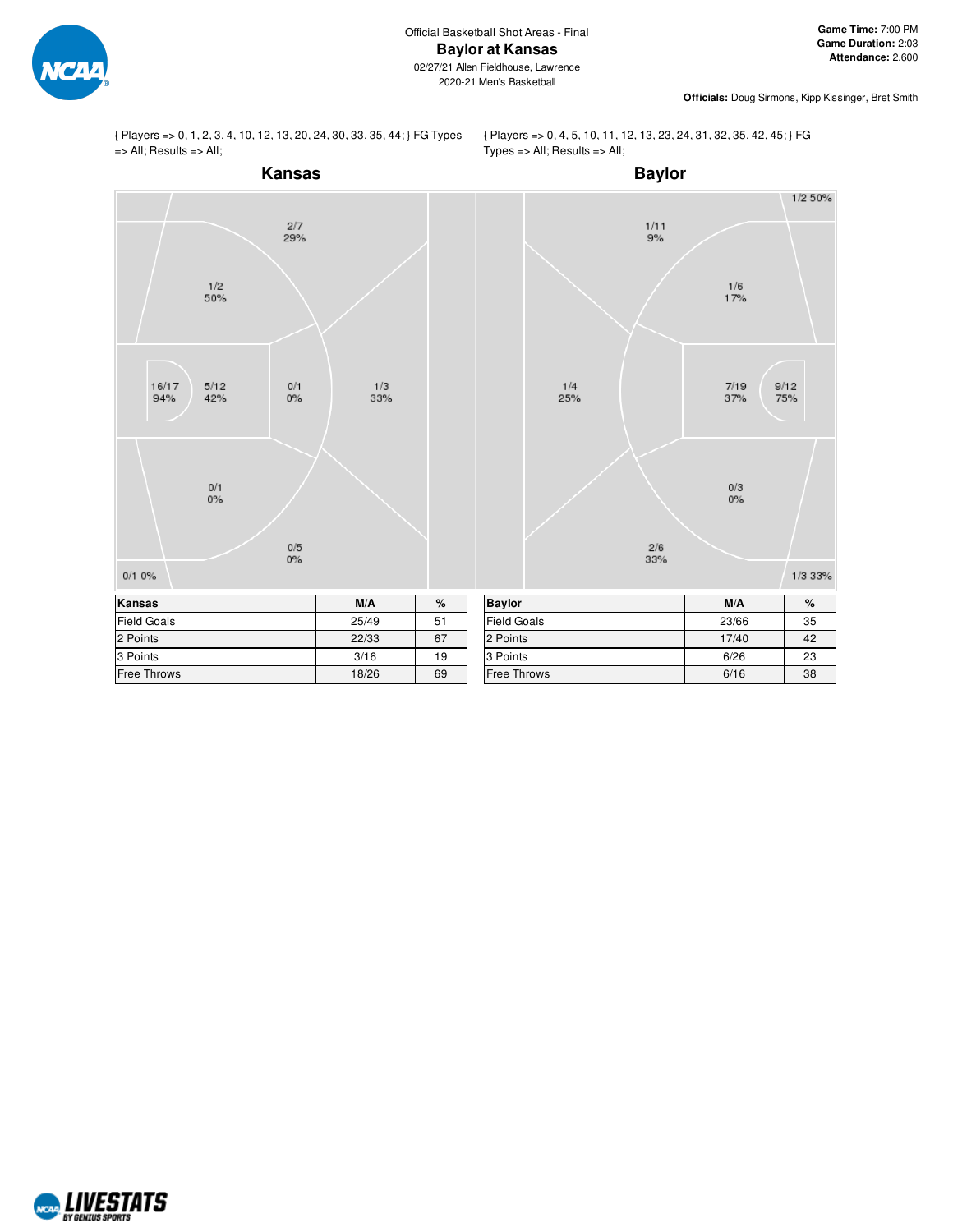

{ Players => 0, 1, 2, 3, 4, 10, 12, 13, 20, 24, 30, 33, 35, 44; } FG Types => All; Results => All;

{ Players => 0, 4, 5, 10, 11, 12, 13, 23, 24, 31, 32, 35, 42, 45; } FG Types => All; Results => All;



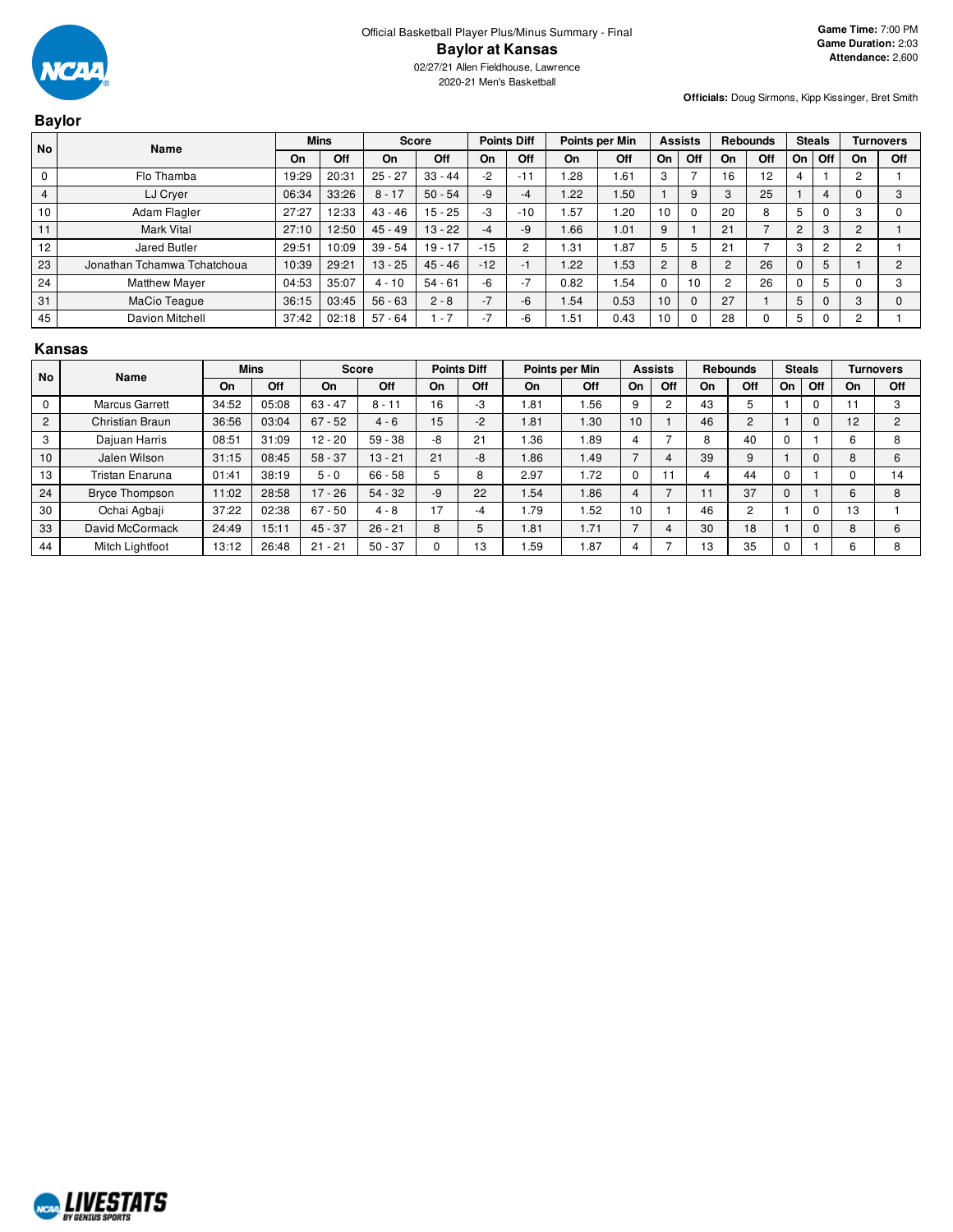

# **Baylor**

| <b>No</b>      | Name                        |       | <b>Mins</b> | <b>Score</b> |           | <b>Points Diff</b> |                               | Points per Min |      |                | <b>Assists</b> |                | <b>Rebounds</b> | <b>Steals</b>  |                |                | <b>Turnovers</b> |
|----------------|-----------------------------|-------|-------------|--------------|-----------|--------------------|-------------------------------|----------------|------|----------------|----------------|----------------|-----------------|----------------|----------------|----------------|------------------|
|                |                             | On    | Off         | On           | Off       | On                 | Off                           | On             | Off  | On             | Off            | On             | Off             | On             | Off            | On             | Off              |
|                | Flo Thamba                  | 19:29 | 20:31       | $25 - 27$    | $33 - 44$ | $-2$               | $-11$                         | .28            | 1.61 | 3              |                | 16             | 12              |                |                | $\overline{c}$ |                  |
| $\overline{4}$ | LJ Cryer                    | 06:34 | 33:26       | $8 - 17$     | $50 - 54$ | $-9$               | -4                            | .22            | 1.50 |                | 9              | 3              | 25              |                |                |                | 3                |
| 10             | Adam Flagler                | 27:27 | 12:33       | $43 - 46$    | $15 - 25$ | $-3$               | $-10$                         | .57            | .20  | 10             |                | 20             | 8               | 5              |                |                |                  |
| 11             | <b>Mark Vital</b>           | 27:10 | 12:50       | $45 - 49$    | $13 - 22$ | $-4$               | -9                            | .66            | 1.01 | 9              |                | 21             |                 | $\overline{2}$ | З              | 2              |                  |
| 12             | Jared Butler                | 29:51 | 10:09       | $39 - 54$    | $19 - 17$ | $-15$              |                               | .31            | 1.87 | 5              | 5              | 21             |                 | 3              | $\overline{2}$ |                |                  |
| 23             | Jonathan Tchamwa Tchatchoua | 10:39 | 29:21       | $13 - 25$    | $45 - 46$ | $-12$              | $-1$                          | .22            | 1.53 | $\overline{2}$ | 8              | $\overline{c}$ | 26              | $\mathbf{0}$   | 5              |                | 2                |
| 24             | <b>Matthew Mayer</b>        | 04:53 | 35:07       | $4 - 10$     | $54 - 61$ | -6                 | -<br>$\overline{\phantom{a}}$ | 0.82           | 1.54 |                | 10             | 2              | 26              |                | 5              |                | 3                |
| 31             | MaCio Teague                | 36:15 | 03:45       | $56 - 63$    | $2 - 8$   | $-7$               | -6                            | .54            | 0.53 | 10             |                | 27             |                 | 5              |                | 3              | $\Omega$         |
| 45             | Davion Mitchell             | 37:42 | 02:18       | $57 - 64$    | $-7$      | $-7$               | -6                            | .51            | 0.43 | 10             |                | 28             |                 | 5              |                |                |                  |

#### **Kansas**

| <b>No</b>      | Name                   |       | <b>Mins</b> |           | <b>Score</b> |    | <b>Points Diff</b> |       | Points per Min |    | <b>Assists</b> |    | <b>Rebounds</b> |    | <b>Steals</b> |    | Turnovers |
|----------------|------------------------|-------|-------------|-----------|--------------|----|--------------------|-------|----------------|----|----------------|----|-----------------|----|---------------|----|-----------|
|                |                        | On    | Off         | <b>On</b> | Off          | On | Off                | On    | Off            | On | Off            | On | Off             | On | Off           | On | Off       |
| $\Omega$       | <b>Marcus Garrett</b>  | 34:52 | 05:08       | $63 - 47$ | $8 - 11$     | 16 | -3                 | 81.،  | 1.56           |    | $\sqrt{2}$     | 43 | 5               |    | 0             |    |           |
| $\overline{2}$ | Christian Braun        | 36:56 | 03:04       | $67 - 52$ | $4 - 6$      | 15 | $-2$               | .81   | 1.30           | 10 |                | 46 | $\overline{c}$  |    | 0             | 12 | $\sim$    |
| 3              | Dajuan Harris          | 08:51 | 31:09       | $12 - 20$ | $59 - 38$    | -8 | 21                 | .36.، | . 89           |    |                |    | 40              | u  |               |    |           |
| 10             | Jalen Wilson           | 31:15 | 08:45       | $58 - 37$ | $13 - 21$    | 21 | -8                 | .86   | 1.49           |    |                | 39 | 9               |    | 0             |    |           |
| 13             | <b>Tristan Enaruna</b> | 01:41 | 38:19       | $5 - 0$   | $66 - 58$    | 5  | 8                  | 2.97  | 1.72           |    |                |    | 44              |    |               |    | 14        |
| 24             | <b>Bryce Thompson</b>  | 11:02 | 28:58       | $17 - 26$ | $54 - 32$    | -9 | 22                 | .54   | 1.86           |    |                |    | 37              | 0  |               |    | 8         |
| 30             | Ochai Agbaji           | 37:22 | 02:38       | $67 - 50$ | $4 - 8$      | 17 | -4                 | .79   | . 52           | 10 |                | 46 | $\overline{c}$  |    | 0             | 13 |           |
| 33             | David McCormack        | 24:49 | 15:11       | $45 - 37$ | $26 - 21$    | 8  | 5                  | i 81  | 1.71           |    |                | 30 | 18              |    | 0             |    | 6         |
| 44             | Mitch Lightfoot        | 13:12 | 26:48       | $21 - 21$ | $50 - 37$    |    | 13                 | .59   | .87            |    |                | 13 | 35              | 0  |               |    |           |

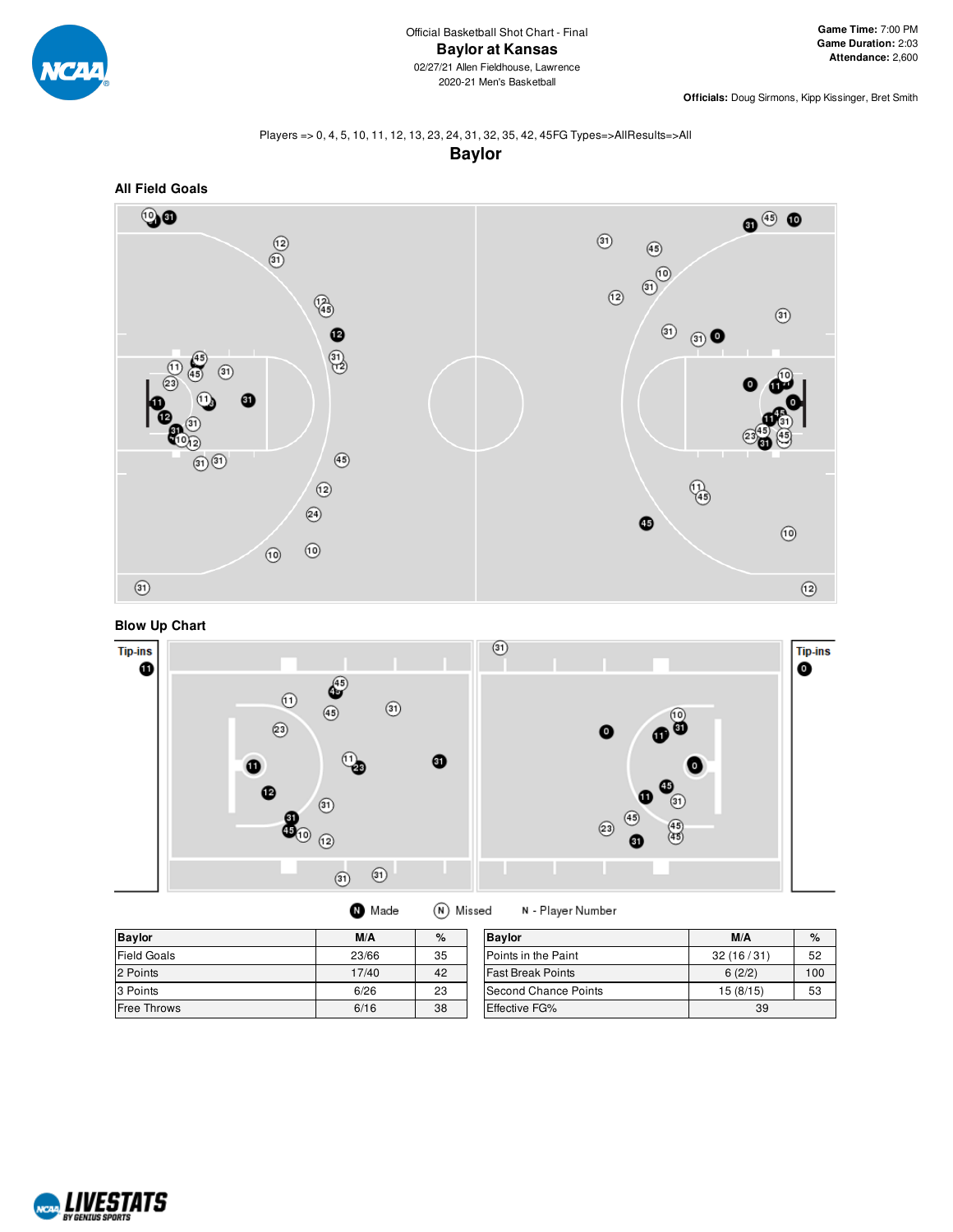

### Players => 0, 4, 5, 10, 11, 12, 13, 23, 24, 31, 32, 35, 42, 45FG Types=>AllResults=>All **Baylor**



## **Blow Up Chart**



| <b>O</b> Made |  | (N) Missed |
|---------------|--|------------|
|---------------|--|------------|

N - Player Number

| <b>Baylor</b>      | M/A   | $\%$ | <b>Bavlor</b>            | M/A       | $\%$ |
|--------------------|-------|------|--------------------------|-----------|------|
| <b>Field Goals</b> | 23/66 | 35   | Points in the Paint      | 32(16/31) | 52   |
| 2 Points           | 17/40 | 42   | <b>Fast Break Points</b> | 6(2/2)    | 100  |
| 3 Points           | 6/26  | 23   | Second Chance Points     | 15(8/15)  | 53   |
| <b>Free Throws</b> | 6/16  | 38   | <b>Effective FG%</b>     | 39        |      |

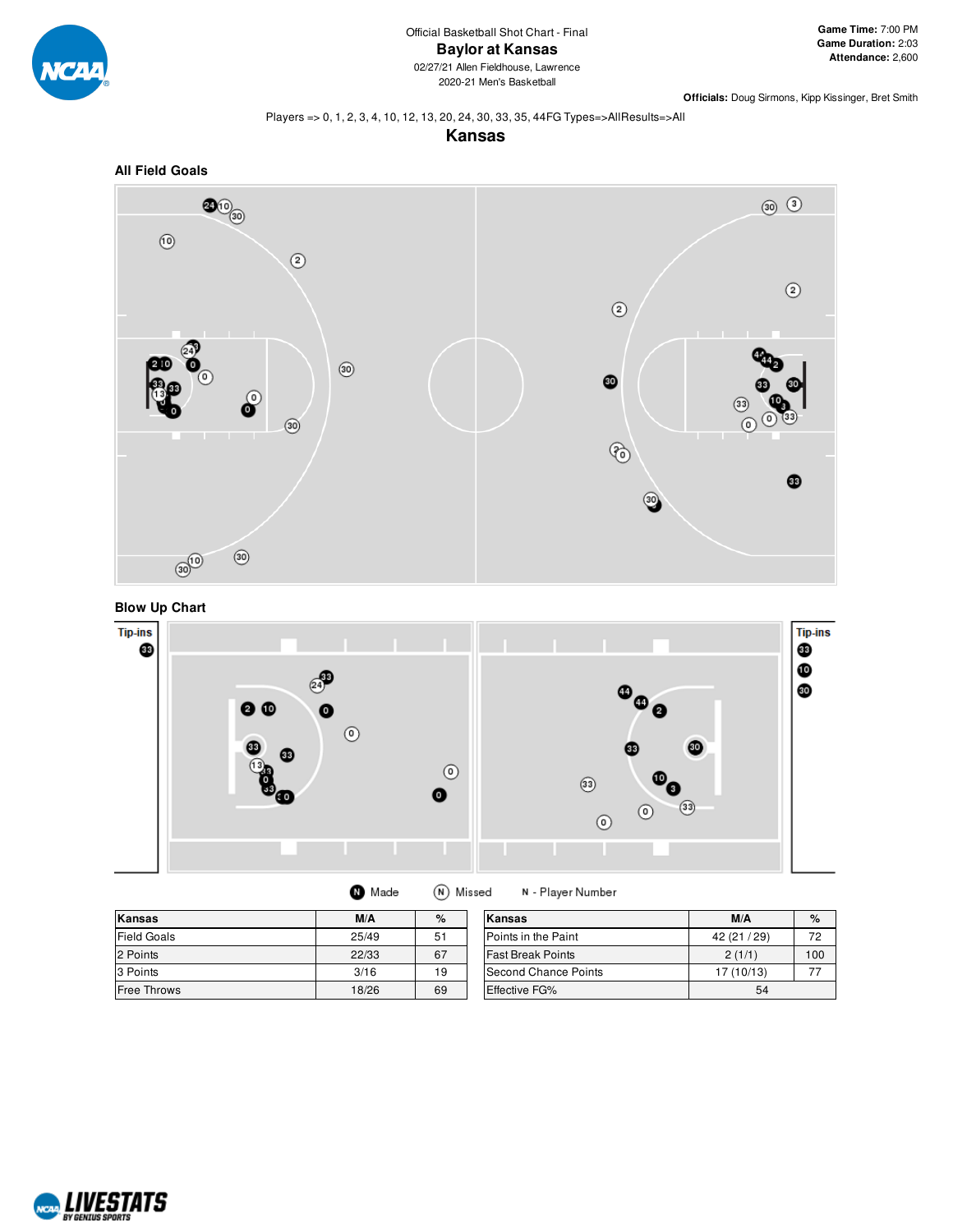

#### Players => 0, 1, 2, 3, 4, 10, 12, 13, 20, 24, 30, 33, 35, 44FG Types=>AllResults=>All









| Kansas             | M/A   | %  | Kansas                   | M/A          | %   |
|--------------------|-------|----|--------------------------|--------------|-----|
| <b>Field Goals</b> | 25/49 | 51 | Points in the Paint      | 42 (21 / 29) | 72  |
| 2 Points           | 22/33 | 67 | <b>Fast Break Points</b> | 2(1/1)       | 100 |
| 3 Points           | 3/16  | 19 | Second Chance Points     | 17 (10/13)   |     |
| <b>Free Throws</b> | 18/26 | 69 | Effective FG%            | 54           |     |

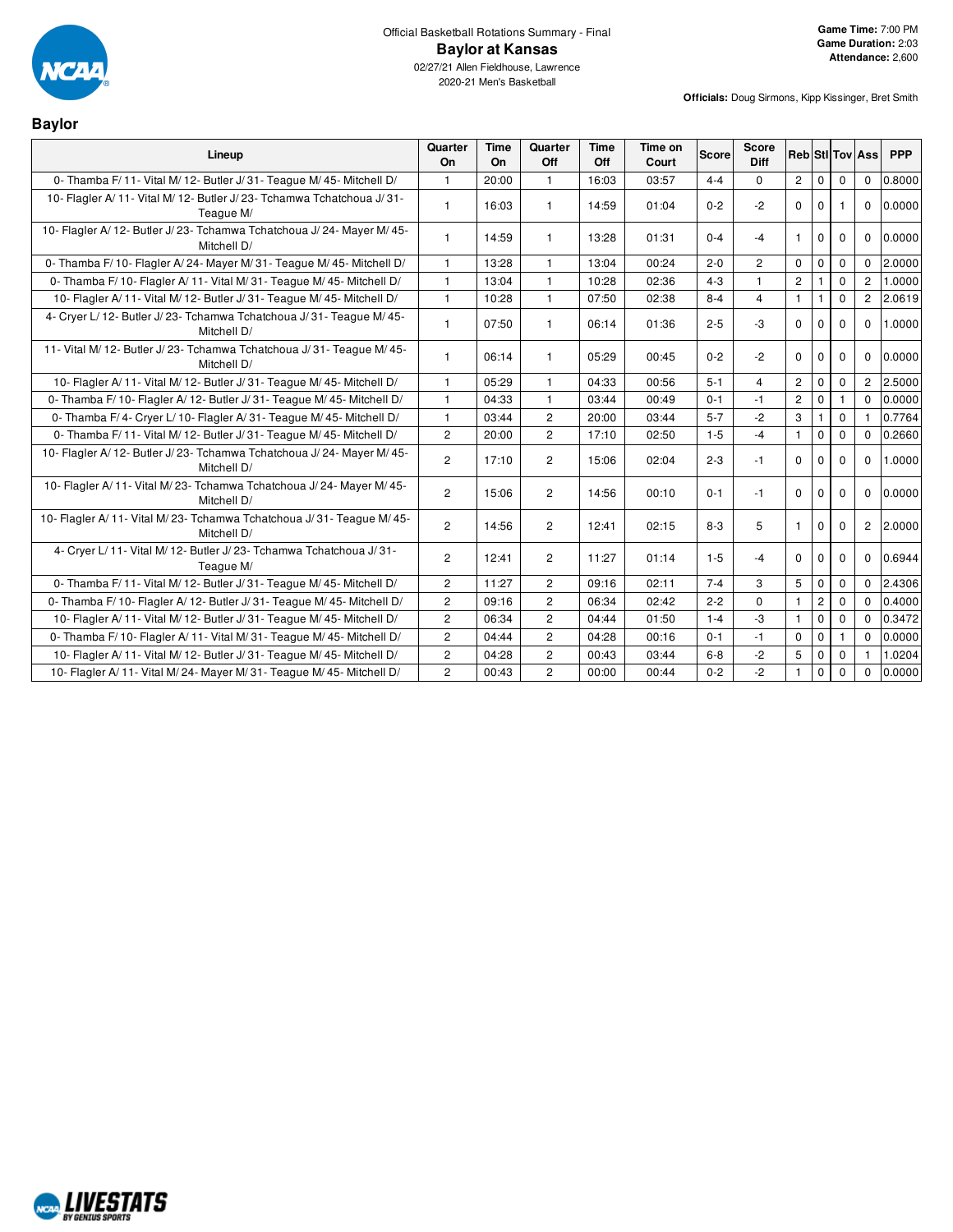

**Baylor**

2020-21 Men's Basketball

| Lineup                                                                                | Quarter<br>On  | Time<br>On | Quarter<br>Off | <b>Time</b><br>Off | Time on<br>Court | Score   | <b>Score</b><br><b>Diff</b> | <b>Reb</b> Stil Tov Ass |              |              |                | <b>PPP</b> |
|---------------------------------------------------------------------------------------|----------------|------------|----------------|--------------------|------------------|---------|-----------------------------|-------------------------|--------------|--------------|----------------|------------|
| 0- Thamba F/ 11- Vital M/ 12- Butler J/ 31- Teague M/ 45- Mitchell D/                 | $\mathbf{1}$   | 20:00      | $\mathbf{1}$   | 16:03              | 03:57            | $4 - 4$ | $\Omega$                    | $\mathbf{2}$            | 0            | $\mathbf 0$  | $\mathbf 0$    | 0.8000     |
| 10- Flagler A/11- Vital M/12- Butler J/23- Tchamwa Tchatchoua J/31-<br>Teaque M/      |                | 16:03      | $\mathbf{1}$   | 14:59              | 01:04            | $0 - 2$ | $-2$                        | $\Omega$                | $\mathbf 0$  |              | $\Omega$       | 0.0000     |
| 10- Flagler A/12- Butler J/23- Tchamwa Tchatchoua J/24- Mayer M/45-<br>Mitchell D/    | $\mathbf{1}$   | 14:59      | $\mathbf{1}$   | 13:28              | 01:31            | $0 - 4$ | $-4$                        | $\mathbf{1}$            | $\mathbf 0$  | $\Omega$     | $\Omega$       | 0.0000     |
| 0- Thamba F/10- Flagler A/24- Mayer M/31- Teague M/45- Mitchell D/                    | 1              | 13:28      | -1             | 13:04              | 00:24            | $2 - 0$ | 2                           | $\mathbf 0$             | 0            | $\mathbf 0$  | $\Omega$       | 2.0000     |
| 0- Thamba F/ 10- Flagler A/ 11- Vital M/ 31- Teague M/ 45- Mitchell D/                | $\mathbf{1}$   | 13:04      | $\mathbf{1}$   | 10:28              | 02:36            | $4 - 3$ | $\mathbf{1}$                | $\mathbf{2}$            | $\mathbf{1}$ | $\mathbf 0$  | $\overline{2}$ | 1.0000     |
| 10- Flagler A/11- Vital M/12- Butler J/31- Teague M/45- Mitchell D/                   | $\mathbf{1}$   | 10:28      | $\mathbf{1}$   | 07:50              | 02:38            | $8 - 4$ | 4                           | $\mathbf{1}$            | 1            | $\mathbf 0$  | $\overline{c}$ | 2.0619     |
| 4- Cryer L/12- Butler J/23- Tchamwa Tchatchoua J/31- Teaque M/45-<br>Mitchell D/      | 1              | 07:50      | $\mathbf{1}$   | 06:14              | 01:36            | $2 - 5$ | $-3$                        | $\Omega$                | $\Omega$     | $\Omega$     | $\Omega$       | 1.0000     |
| 11- Vital M/ 12- Butler J/ 23- Tchamwa Tchatchoua J/ 31- Teaque M/ 45-<br>Mitchell D/ | $\mathbf{1}$   | 06:14      | $\mathbf{1}$   | 05:29              | 00:45            | $0 - 2$ | $-2$                        | $\mathbf 0$             | $\mathbf 0$  | $\Omega$     | $\mathbf 0$    | 0.0000     |
| 10- Flagler A/11- Vital M/12- Butler J/31- Teague M/45- Mitchell D/                   | $\mathbf{1}$   | 05:29      | -1             | 04:33              | 00:56            | $5 - 1$ | 4                           | $\overline{2}$          | $\mathbf 0$  | $\Omega$     | $\overline{2}$ | 2.5000     |
| 0- Thamba F/ 10- Flagler A/ 12- Butler J/ 31- Teague M/ 45- Mitchell D/               | $\mathbf{1}$   | 04:33      | $\mathbf{1}$   | 03:44              | 00:49            | $0 - 1$ | $-1$                        | $\overline{2}$          | $\mathbf 0$  | $\mathbf{1}$ | $\Omega$       | 0.0000     |
| 0- Thamba F/4- Cryer L/10- Flagler A/31- Teague M/45- Mitchell D/                     | $\mathbf{1}$   | 03:44      | $\overline{2}$ | 20:00              | 03:44            | $5 - 7$ | $-2$                        | 3                       | $\mathbf{1}$ | $\mathbf{0}$ |                | 0.7764     |
| 0- Thamba F/ 11- Vital M/ 12- Butler J/ 31- Teague M/ 45- Mitchell D/                 | $\overline{2}$ | 20:00      | 2              | 17:10              | 02:50            | $1 - 5$ | $-4$                        | $\mathbf{1}$            | $\mathbf 0$  | $\mathbf{0}$ | $\mathbf 0$    | 0.2660     |
| 10- Flagler A/12- Butler J/23- Tchamwa Tchatchoua J/24- Mayer M/45-<br>Mitchell D/    | $\overline{2}$ | 17:10      | 2              | 15:06              | 02:04            | $2 - 3$ | $-1$                        | $\mathbf 0$             | $\mathbf 0$  | $\Omega$     | $\Omega$       | 1.0000     |
| 10- Flagler A/11- Vital M/23- Tchamwa Tchatchoua J/24- Mayer M/45-<br>Mitchell D/     | $\overline{2}$ | 15:06      | 2              | 14:56              | 00:10            | $0 - 1$ | $-1$                        | $\Omega$                | $\Omega$     | $\Omega$     | $\Omega$       | 0.0000     |
| 10- Flagler A/11- Vital M/23- Tchamwa Tchatchoua J/31- Teague M/45-<br>Mitchell D/    | $\overline{2}$ | 14:56      | 2              | 12:41              | 02:15            | $8 - 3$ | 5                           | $\mathbf{1}$            | $\mathbf 0$  | $\Omega$     | $\overline{2}$ | 2.0000     |
| 4- Cryer L/11- Vital M/12- Butler J/23- Tchamwa Tchatchoua J/31-<br>Teague M/         | $\overline{2}$ | 12:41      | 2              | 11:27              | 01:14            | $1 - 5$ | $-4$                        | $\mathbf 0$             | $\mathbf 0$  | $\Omega$     | $\Omega$       | 0.6944     |
| 0- Thamba F/ 11- Vital M/ 12- Butler J/ 31- Teague M/ 45- Mitchell D/                 | $\overline{2}$ | 11:27      | $\overline{2}$ | 09:16              | 02:11            | $7 - 4$ | 3                           | 5                       | 0            | $\mathbf 0$  | $\mathbf{0}$   | 2.4306     |
| 0- Thamba F/ 10- Flagler A/ 12- Butler J/ 31- Teague M/ 45- Mitchell D/               | $\overline{2}$ | 09:16      | $\overline{2}$ | 06:34              | 02:42            | $2 - 2$ | $\Omega$                    | $\mathbf{1}$            | $\mathbf{2}$ | $\mathbf 0$  | $\Omega$       | 0.4000     |
| 10- Flagler A/11- Vital M/12- Butler J/31- Teague M/45- Mitchell D/                   | $\overline{2}$ | 06:34      | $\overline{2}$ | 04:44              | 01:50            | $1 - 4$ | -3                          | $\mathbf{1}$            | $\mathbf 0$  | $\mathbf{0}$ | $\Omega$       | 0.3472     |
| 0- Thamba F/ 10- Flagler A/ 11- Vital M/ 31- Teague M/ 45- Mitchell D/                | $\overline{2}$ | 04:44      | $\overline{2}$ | 04:28              | 00:16            | $0 - 1$ | $-1$                        | $\Omega$                | $\mathbf 0$  | -1           | $\Omega$       | 0.0000     |
| 10- Flagler A/11- Vital M/12- Butler J/31- Teague M/45- Mitchell D/                   | $\overline{2}$ | 04:28      | $\overline{2}$ | 00:43              | 03:44            | $6 - 8$ | $-2$                        | 5                       | $\mathbf 0$  | $\mathbf 0$  |                | 1.0204     |
| 10- Flagler A/11- Vital M/24- Mayer M/31- Teague M/45- Mitchell D/                    | $\overline{2}$ | 00:43      | $\overline{2}$ | 00:00              | 00:44            | $0 - 2$ | $-2$                        | $\mathbf{1}$            | $\mathbf 0$  | $\Omega$     | $\Omega$       | 0.0000     |

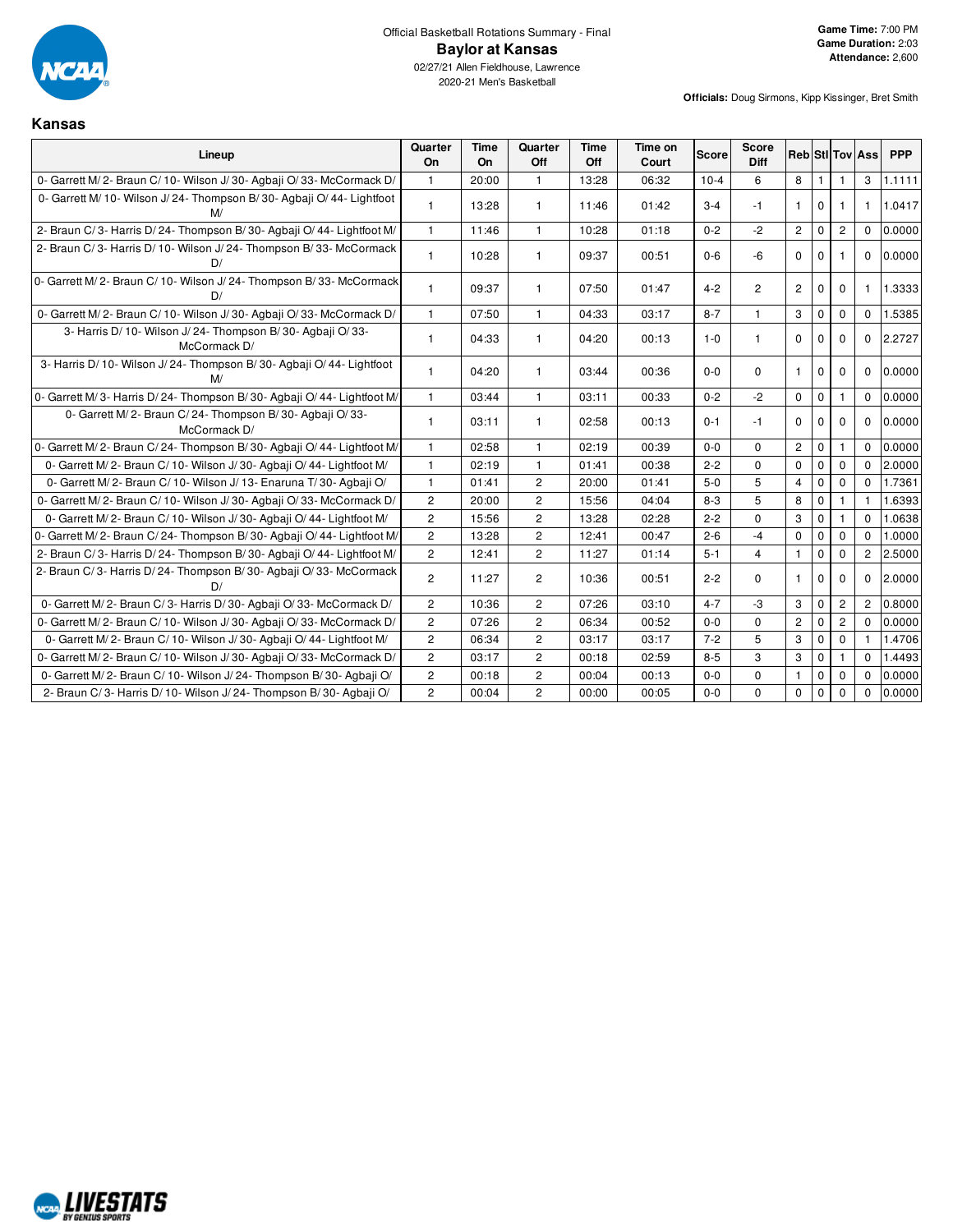

**Kansas**

**Officials:** Doug Sirmons, Kipp Kissinger, Bret Smith

# 2020-21 Men's Basketball

| Lineup                                                                        | Quarter<br>On  | <b>Time</b><br>On | Quarter<br>Off | <b>Time</b><br>Off | Time on<br>Court | <b>Score</b> | <b>Score</b><br><b>Diff</b> | <b>RebiStilToviAss</b> |              |                |                | <b>PPP</b> |
|-------------------------------------------------------------------------------|----------------|-------------------|----------------|--------------------|------------------|--------------|-----------------------------|------------------------|--------------|----------------|----------------|------------|
| 0- Garrett M/2- Braun C/10- Wilson J/30- Agbaji O/33- McCormack D/            | $\mathbf{1}$   | 20:00             | $\mathbf{1}$   | 13:28              | 06:32            | $10 - 4$     | 6                           | 8                      |              |                | 3              | 1.1111     |
| 0- Garrett M/ 10- Wilson J/ 24- Thompson B/ 30- Agbaji O/ 44- Lightfoot<br>M/ | $\mathbf{1}$   | 13:28             | $\mathbf{1}$   | 11:46              | 01:42            | $3 - 4$      | $-1$                        | $\mathbf{1}$           | $\mathbf{0}$ | $\mathbf{1}$   | $\mathbf{1}$   | 1.0417     |
| 2- Braun C/3- Harris D/24- Thompson B/30- Agbaii O/44- Lightfoot M/           | $\mathbf{1}$   | 11:46             | $\mathbf{1}$   | 10:28              | 01:18            | $0 - 2$      | $-2$                        | $\mathbf{2}^{\circ}$   | $\mathbf 0$  | $\overline{c}$ | $\Omega$       | 0.0000     |
| 2- Braun C/3- Harris D/10- Wilson J/24- Thompson B/33- McCormack<br>D/        | $\mathbf{1}$   | 10:28             | $\mathbf{1}$   | 09:37              | 00:51            | $0 - 6$      | -6                          | $\Omega$               | $\Omega$     |                | $\Omega$       | 0.0000     |
| 0- Garrett M/2- Braun C/10- Wilson J/24- Thompson B/33- McCormack<br>D/       | $\mathbf{1}$   | 09:37             | $\mathbf{1}$   | 07:50              | 01:47            | $4 - 2$      | $\overline{2}$              | $\overline{2}$         | 0            | $\mathbf{0}$   | 1              | 1.3333     |
| 0- Garrett M/2- Braun C/10- Wilson J/30- Agbaji O/33- McCormack D/            | $\mathbf{1}$   | 07:50             | $\mathbf{1}$   | 04:33              | 03:17            | $8 - 7$      | $\mathbf{1}$                | 3                      | $\mathbf 0$  | $\mathbf 0$    | $\mathbf 0$    | 1.5385     |
| 3- Harris D/ 10- Wilson J/ 24- Thompson B/ 30- Agbaji O/ 33-<br>McCormack D/  | $\mathbf{1}$   | 04:33             | $\mathbf{1}$   | 04:20              | 00:13            | $1-0$        | $\mathbf{1}$                | $\Omega$               | $\Omega$     | $\Omega$       | $\Omega$       | 2.2727     |
| 3- Harris D/ 10- Wilson J/ 24- Thompson B/ 30- Agbaji O/ 44- Lightfoot<br>M/  | $\mathbf{1}$   | 04:20             | $\mathbf{1}$   | 03:44              | 00:36            | $0-0$        | $\Omega$                    | $\mathbf{1}$           | $\mathbf{0}$ | $\mathbf 0$    | $\Omega$       | 0.0000     |
| 0- Garrett M/3- Harris D/24- Thompson B/30- Agbaii O/44- Lightfoot M/         | $\mathbf{1}$   | 03:44             | $\mathbf{1}$   | 03:11              | 00:33            | $0 - 2$      | $-2$                        | $\mathbf 0$            | $\mathbf 0$  | 1              | $\mathbf 0$    | 0.0000     |
| 0- Garrett M/2- Braun C/24- Thompson B/30- Agbaji O/33-<br>McCormack D/       | $\mathbf{1}$   | 03:11             | $\mathbf{1}$   | 02:58              | 00:13            | $0 - 1$      | $-1$                        | $\Omega$               | $\Omega$     | $\Omega$       | $\Omega$       | 0.0000     |
| 0- Garrett M/2- Braun C/24- Thompson B/30- Agbaii O/44- Lightfoot M/          | $\mathbf{1}$   | 02:58             | $\mathbf{1}$   | 02:19              | 00:39            | $0-0$        | $\mathbf 0$                 | $\mathbf{2}$           | $\mathbf 0$  | 1              | $\Omega$       | 0.0000     |
| 0- Garrett M/2- Braun C/10- Wilson J/30- Agbaii O/44- Lightfoot M/            | $\mathbf{1}$   | 02:19             | $\mathbf{1}$   | 01:41              | 00:38            | $2 - 2$      | $\Omega$                    | $\Omega$               | $\mathbf 0$  | $\mathbf 0$    | $\Omega$       | 2.0000     |
| 0- Garrett M/2- Braun C/10- Wilson J/13- Enaruna T/30- Agbaji O/              | $\mathbf{1}$   | 01:41             | $\overline{2}$ | 20:00              | 01:41            | $5-0$        | 5                           | $\overline{4}$         | 0            | $\mathbf{0}$   | $\Omega$       | 1.7361     |
| 0- Garrett M/2- Braun C/10- Wilson J/30- Agbaji O/33- McCormack D/            | $\overline{2}$ | 20:00             | $\overline{2}$ | 15:56              | 04:04            | $8 - 3$      | 5                           | 8                      | $\mathbf 0$  | $\mathbf{1}$   | $\mathbf{1}$   | 1.6393     |
| 0- Garrett M/2- Braun C/10- Wilson J/30- Agbaii O/44- Lightfoot M/            | $\overline{c}$ | 15:56             | $\overline{2}$ | 13:28              | 02:28            | $2 - 2$      | $\mathbf 0$                 | 3                      | $\mathbf 0$  | $\mathbf{1}$   | $\Omega$       | 1.0638     |
| 0- Garrett M/2- Braun C/24- Thompson B/30- Agbaji O/44- Lightfoot M/          | $\overline{c}$ | 13:28             | $\overline{2}$ | 12:41              | 00:47            | $2 - 6$      | $-4$                        | $\mathbf 0$            | $\mathbf 0$  | $\mathbf 0$    | $\Omega$       | 1.0000     |
| 2- Braun C/3- Harris D/24- Thompson B/30- Agbaji O/44- Lightfoot M/           | $\overline{2}$ | 12:41             | $\overline{2}$ | 11:27              | 01:14            | $5 - 1$      | $\overline{4}$              | $\mathbf{1}$           | $\mathbf 0$  | $\mathbf 0$    | $\overline{2}$ | 2.5000     |
| 2- Braun C/3- Harris D/24- Thompson B/30- Agbaji O/33- McCormack<br>D/        | $\overline{c}$ | 11:27             | $\overline{2}$ | 10:36              | 00:51            | $2 - 2$      | 0                           | $\mathbf{1}$           | $\mathbf 0$  | $\mathbf 0$    | $\mathbf 0$    | 2.0000     |
| 0- Garrett M/2- Braun C/3- Harris D/30- Agbaii O/33- McCormack D/             | $\overline{2}$ | 10:36             | $\overline{2}$ | 07:26              | 03:10            | $4 - 7$      | $-3$                        | 3                      | $\mathbf 0$  | $\mathbf{2}$   | $\overline{2}$ | 0.8000     |
| 0- Garrett M/2- Braun C/10- Wilson J/30- Agbaji O/33- McCormack D/            | $\overline{2}$ | 07:26             | $\overline{2}$ | 06:34              | 00:52            | $0-0$        | $\mathbf 0$                 | $\mathbf{2}$           | $\mathbf 0$  | $\mathbf{2}$   | $\Omega$       | 0.0000     |
| 0- Garrett M/2- Braun C/10- Wilson J/30- Agbaji O/44- Lightfoot M/            | $\overline{c}$ | 06:34             | $\overline{2}$ | 03:17              | 03:17            | $7 - 2$      | 5                           | 3                      | $\mathbf 0$  | $\mathbf 0$    |                | 1.4706     |
| 0- Garrett M/2- Braun C/10- Wilson J/30- Agbaji O/33- McCormack D/            | $\overline{c}$ | 03:17             | $\mathbf{2}$   | 00:18              | 02:59            | $8 - 5$      | 3                           | 3                      | $\mathbf 0$  |                | $\Omega$       | 1.4493     |
| 0- Garrett M/2- Braun C/10- Wilson J/24- Thompson B/30- Agbaji O/             | $\overline{2}$ | 00:18             | $\overline{2}$ | 00:04              | 00:13            | $0-0$        | $\mathbf 0$                 | $\mathbf{1}$           | $\mathbf 0$  | $\mathbf 0$    | $\mathbf 0$    | 0.0000     |
| 2- Braun C/3- Harris D/10- Wilson J/24- Thompson B/30- Agbaji O/              | $\overline{c}$ | 00:04             | $\overline{2}$ | 00:00              | 00:05            | $0-0$        | 0                           | $\mathbf 0$            | $\Omega$     | $\mathbf 0$    | $\Omega$       | 0.0000     |

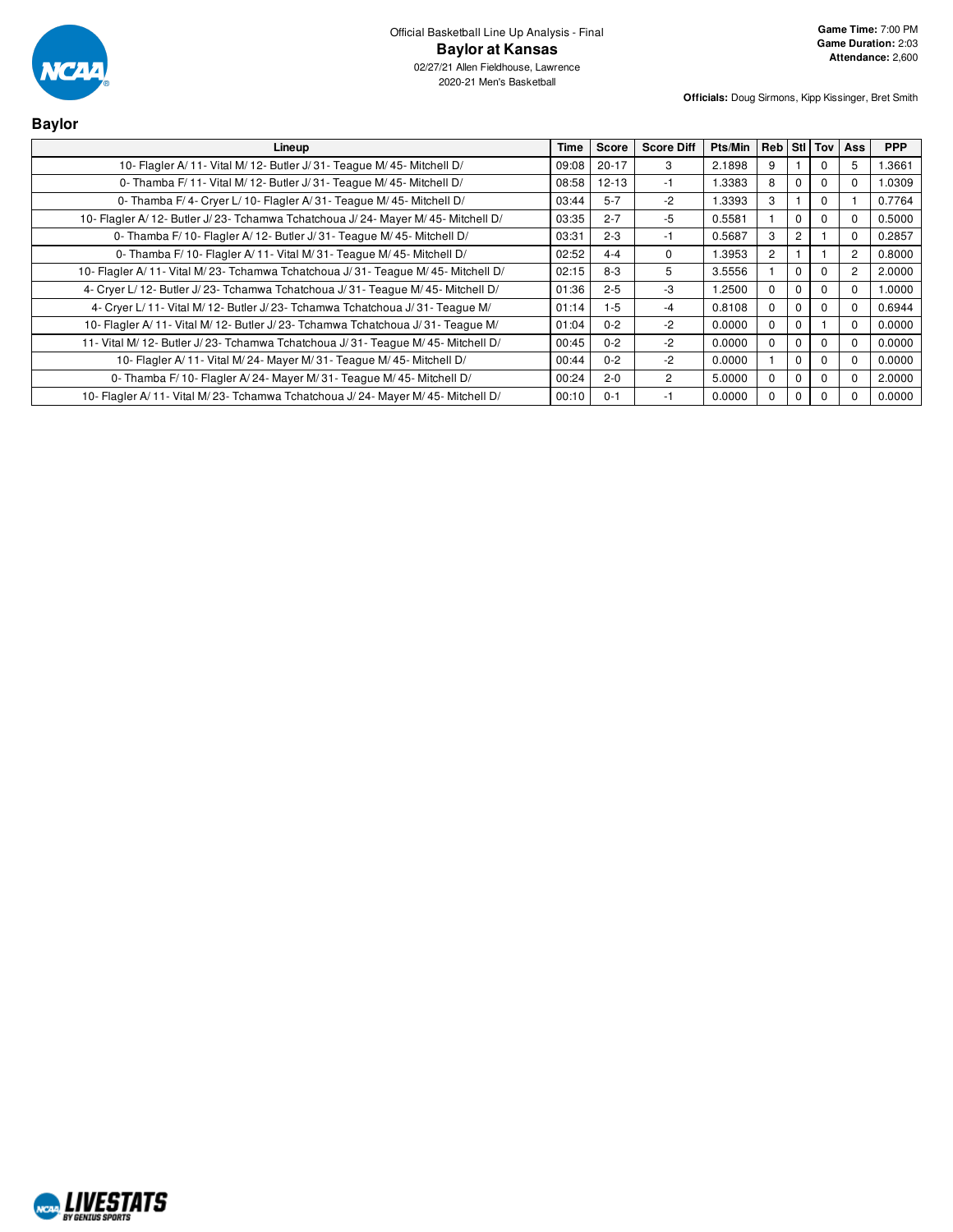

| <b>Baylor</b>                                                                      |       |              |                   |         |                |                |          |              |            |
|------------------------------------------------------------------------------------|-------|--------------|-------------------|---------|----------------|----------------|----------|--------------|------------|
| Lineup                                                                             | Time  | <b>Score</b> | <b>Score Diff</b> | Pts/Min | Reb Stl Tov    |                |          | Ass          | <b>PPP</b> |
| 10- Flagler A/11- Vital M/12- Butler J/31- Teague M/45- Mitchell D/                | 09:08 | $20-17$      | 3                 | 2.1898  | 9              |                | $\Omega$ | 5            | 1.3661     |
| 0- Thamba F/ 11- Vital M/ 12- Butler J/ 31- Teague M/ 45- Mitchell D/              | 08:58 | $12 - 13$    | -1                | 1.3383  | 8              | $\mathbf 0$    | $\Omega$ | $\Omega$     | 1.0309     |
| 0- Thamba F/4- Cryer L/10- Flagler A/31- Teague M/45- Mitchell D/                  | 03:44 | $5 - 7$      | $-2$              | 1.3393  | 3              |                | $\Omega$ |              | 0.7764     |
| 10- Flagler A/12- Butler J/23- Tchamwa Tchatchoua J/24- Mayer M/45- Mitchell D/    | 03:35 | $2 - 7$      | -5                | 0.5581  |                | $\mathbf 0$    | $\Omega$ | 0            | 0.5000     |
| 0- Thamba F/ 10- Flagler A/ 12- Butler J/ 31- Teague M/ 45- Mitchell D/            | 03:31 | $2 - 3$      | -1                | 0.5687  | 3              | $\overline{2}$ |          | 0            | 0.2857     |
| 0- Thamba F/10- Flagler A/11- Vital M/31- Teague M/45- Mitchell D/                 | 02:52 | $4 - 4$      | 0                 | 1.3953  | $\overline{c}$ |                |          | 2            | 0.8000     |
| 10- Flagler A/11- Vital M/23- Tchamwa Tchatchoua J/31- Teague M/45- Mitchell D/    | 02:15 | $8 - 3$      | 5                 | 3.5556  |                | $\Omega$       | $\Omega$ | 2            | 2.0000     |
| 4- Cryer L/ 12- Butler J/ 23- Tchamwa Tchatchoua J/ 31- Teague M/ 45- Mitchell D/  | 01:36 | $2 - 5$      | -3                | 1.2500  | 0              | $\Omega$       | $\Omega$ | 0            | 1.0000     |
| 4- Cryer L/11- Vital M/12- Butler J/23- Tchamwa Tchatchoua J/31- Teague M/         | 01:14 | $1 - 5$      | $-4$              | 0.8108  | 0              | $\Omega$       | $\Omega$ | 0            | 0.6944     |
| 10- Flagler A/11- Vital M/12- Butler J/23- Tchamwa Tchatchoua J/31- Teague M/      | 01:04 | $0 - 2$      | $-2$              | 0.0000  | $\Omega$       | $\Omega$       |          | $\Omega$     | 0.0000     |
| 11- Vital M/ 12- Butler J/ 23- Tchamwa Tchatchoua J/ 31- Teague M/ 45- Mitchell D/ | 00:45 | $0 - 2$      | $-2$              | 0.0000  | $\Omega$       | $\Omega$       | $\Omega$ | 0            | 0.0000     |
| 10- Flagler A/11- Vital M/24- Mayer M/31- Teague M/45- Mitchell D/                 | 00:44 | $0 - 2$      | $-2$              | 0.0000  |                | $\mathbf 0$    | $\Omega$ | <sup>0</sup> | 0.0000     |
| 0- Thamba F/10- Flagler A/24- Mayer M/31- Teague M/45- Mitchell D/                 | 00:24 | $2 - 0$      | 2                 | 5.0000  | $\Omega$       | $\mathbf 0$    | $\Omega$ | $\Omega$     | 2.0000     |
| 10- Flagler A/11- Vital M/23- Tchamwa Tchatchoua J/24- Mayer M/45- Mitchell D/     | 00:10 | $0 - 1$      | -1                | 0.0000  | $\Omega$       | $\Omega$       | $\Omega$ |              | 0.0000     |